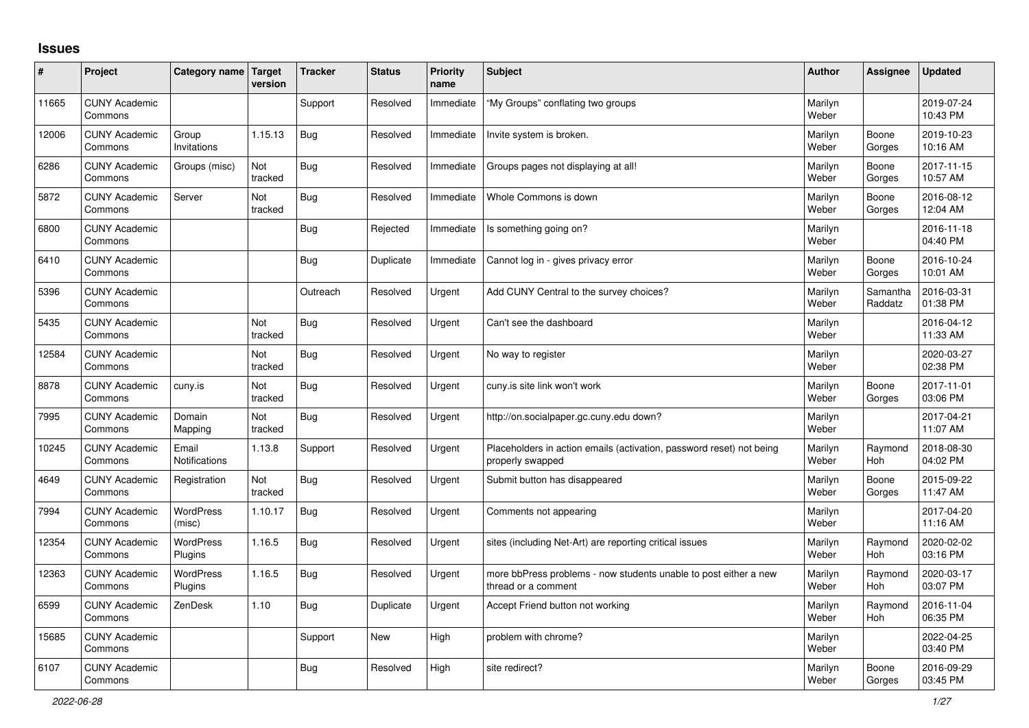## **Issues**

| #     | Project                         | Category name Target          | version        | <b>Tracker</b> | <b>Status</b> | Priority<br>name | <b>Subject</b>                                                                           | <b>Author</b>    | Assignee            | <b>Updated</b>         |
|-------|---------------------------------|-------------------------------|----------------|----------------|---------------|------------------|------------------------------------------------------------------------------------------|------------------|---------------------|------------------------|
| 11665 | <b>CUNY Academic</b><br>Commons |                               |                | Support        | Resolved      | Immediate        | "My Groups" conflating two groups                                                        | Marilyn<br>Weber |                     | 2019-07-24<br>10:43 PM |
| 12006 | <b>CUNY Academic</b><br>Commons | Group<br>Invitations          | 1.15.13        | <b>Bug</b>     | Resolved      | Immediate        | Invite system is broken.                                                                 | Marilyn<br>Weber | Boone<br>Gorges     | 2019-10-23<br>10:16 AM |
| 6286  | <b>CUNY Academic</b><br>Commons | Groups (misc)                 | Not<br>tracked | Bug            | Resolved      | Immediate        | Groups pages not displaying at all!                                                      | Marilyn<br>Weber | Boone<br>Gorges     | 2017-11-15<br>10:57 AM |
| 5872  | <b>CUNY Academic</b><br>Commons | Server                        | Not<br>tracked | Bug            | Resolved      | Immediate        | Whole Commons is down                                                                    | Marilyn<br>Weber | Boone<br>Gorges     | 2016-08-12<br>12:04 AM |
| 6800  | <b>CUNY Academic</b><br>Commons |                               |                | <b>Bug</b>     | Rejected      | Immediate        | Is something going on?                                                                   | Marilyn<br>Weber |                     | 2016-11-18<br>04:40 PM |
| 6410  | <b>CUNY Academic</b><br>Commons |                               |                | Bug            | Duplicate     | Immediate        | Cannot log in - gives privacy error                                                      | Marilyn<br>Weber | Boone<br>Gorges     | 2016-10-24<br>10:01 AM |
| 5396  | <b>CUNY Academic</b><br>Commons |                               |                | Outreach       | Resolved      | Urgent           | Add CUNY Central to the survey choices?                                                  | Marilyn<br>Weber | Samantha<br>Raddatz | 2016-03-31<br>01:38 PM |
| 5435  | <b>CUNY Academic</b><br>Commons |                               | Not<br>tracked | <b>Bug</b>     | Resolved      | Urgent           | Can't see the dashboard                                                                  | Marilyn<br>Weber |                     | 2016-04-12<br>11:33 AM |
| 12584 | <b>CUNY Academic</b><br>Commons |                               | Not<br>tracked | <b>Bug</b>     | Resolved      | Urgent           | No way to register                                                                       | Marilyn<br>Weber |                     | 2020-03-27<br>02:38 PM |
| 8878  | <b>CUNY Academic</b><br>Commons | cuny.is                       | Not<br>tracked | Bug            | Resolved      | Urgent           | cuny.is site link won't work                                                             | Marilyn<br>Weber | Boone<br>Gorges     | 2017-11-01<br>03:06 PM |
| 7995  | <b>CUNY Academic</b><br>Commons | Domain<br>Mapping             | Not<br>tracked | Bug            | Resolved      | Urgent           | http://on.socialpaper.gc.cuny.edu down?                                                  | Marilyn<br>Weber |                     | 2017-04-21<br>11:07 AM |
| 10245 | <b>CUNY Academic</b><br>Commons | Email<br><b>Notifications</b> | 1.13.8         | Support        | Resolved      | Urgent           | Placeholders in action emails (activation, password reset) not being<br>properly swapped | Marilyn<br>Weber | Raymond<br>Hoh      | 2018-08-30<br>04:02 PM |
| 4649  | <b>CUNY Academic</b><br>Commons | Registration                  | Not<br>tracked | Bug            | Resolved      | Urgent           | Submit button has disappeared                                                            | Marilyn<br>Weber | Boone<br>Gorges     | 2015-09-22<br>11:47 AM |
| 7994  | <b>CUNY Academic</b><br>Commons | <b>WordPress</b><br>(misc)    | 1.10.17        | Bug            | Resolved      | Urgent           | Comments not appearing                                                                   | Marilyn<br>Weber |                     | 2017-04-20<br>11:16 AM |
| 12354 | <b>CUNY Academic</b><br>Commons | WordPress<br>Plugins          | 1.16.5         | <b>Bug</b>     | Resolved      | Urgent           | sites (including Net-Art) are reporting critical issues                                  | Marilyn<br>Weber | Raymond<br>Hoh      | 2020-02-02<br>03:16 PM |
| 12363 | <b>CUNY Academic</b><br>Commons | WordPress<br>Plugins          | 1.16.5         | Bug            | Resolved      | Urgent           | more bbPress problems - now students unable to post either a new<br>thread or a comment  | Marilyn<br>Weber | Raymond<br>Hoh      | 2020-03-17<br>03:07 PM |
| 6599  | <b>CUNY Academic</b><br>Commons | ZenDesk                       | 1.10           | <b>Bug</b>     | Duplicate     | Urgent           | Accept Friend button not working                                                         | Marilyn<br>Weber | Raymond<br>Hoh      | 2016-11-04<br>06:35 PM |
| 15685 | <b>CUNY Academic</b><br>Commons |                               |                | Support        | <b>New</b>    | High             | problem with chrome?                                                                     | Marilyn<br>Weber |                     | 2022-04-25<br>03:40 PM |
| 6107  | <b>CUNY Academic</b><br>Commons |                               |                | Bug            | Resolved      | High             | site redirect?                                                                           | Marilyn<br>Weber | Boone<br>Gorges     | 2016-09-29<br>03:45 PM |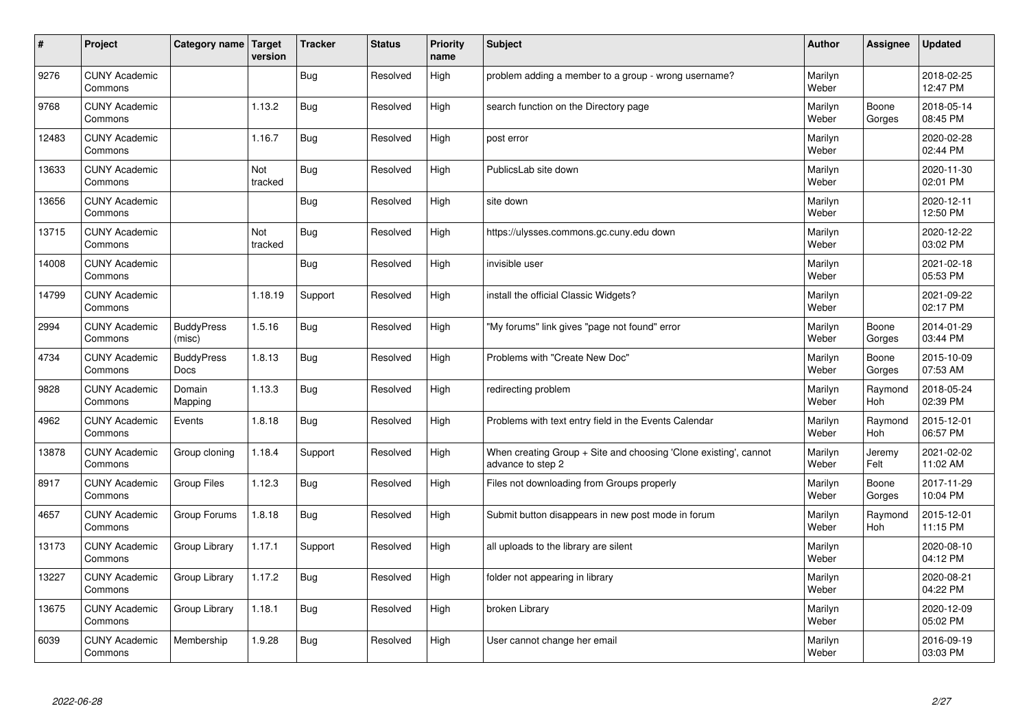| $\sharp$ | Project                         | Category name   Target      | version        | <b>Tracker</b> | <b>Status</b> | <b>Priority</b><br>name | <b>Subject</b>                                                                        | <b>Author</b>    | Assignee        | <b>Updated</b>         |
|----------|---------------------------------|-----------------------------|----------------|----------------|---------------|-------------------------|---------------------------------------------------------------------------------------|------------------|-----------------|------------------------|
| 9276     | <b>CUNY Academic</b><br>Commons |                             |                | <b>Bug</b>     | Resolved      | High                    | problem adding a member to a group - wrong username?                                  | Marilyn<br>Weber |                 | 2018-02-25<br>12:47 PM |
| 9768     | <b>CUNY Academic</b><br>Commons |                             | 1.13.2         | Bug            | Resolved      | High                    | search function on the Directory page                                                 | Marilyn<br>Weber | Boone<br>Gorges | 2018-05-14<br>08:45 PM |
| 12483    | <b>CUNY Academic</b><br>Commons |                             | 1.16.7         | Bug            | Resolved      | High                    | post error                                                                            | Marilyn<br>Weber |                 | 2020-02-28<br>02:44 PM |
| 13633    | <b>CUNY Academic</b><br>Commons |                             | Not<br>tracked | Bug            | Resolved      | High                    | PublicsLab site down                                                                  | Marilyn<br>Weber |                 | 2020-11-30<br>02:01 PM |
| 13656    | <b>CUNY Academic</b><br>Commons |                             |                | <b>Bug</b>     | Resolved      | High                    | site down                                                                             | Marilyn<br>Weber |                 | 2020-12-11<br>12:50 PM |
| 13715    | <b>CUNY Academic</b><br>Commons |                             | Not<br>tracked | Bug            | Resolved      | High                    | https://ulysses.commons.gc.cuny.edu down                                              | Marilyn<br>Weber |                 | 2020-12-22<br>03:02 PM |
| 14008    | <b>CUNY Academic</b><br>Commons |                             |                | Bug            | Resolved      | High                    | invisible user                                                                        | Marilyn<br>Weber |                 | 2021-02-18<br>05:53 PM |
| 14799    | <b>CUNY Academic</b><br>Commons |                             | 1.18.19        | Support        | Resolved      | High                    | install the official Classic Widgets?                                                 | Marilyn<br>Weber |                 | 2021-09-22<br>02:17 PM |
| 2994     | <b>CUNY Academic</b><br>Commons | <b>BuddyPress</b><br>(misc) | 1.5.16         | <b>Bug</b>     | Resolved      | High                    | "My forums" link gives "page not found" error                                         | Marilyn<br>Weber | Boone<br>Gorges | 2014-01-29<br>03:44 PM |
| 4734     | <b>CUNY Academic</b><br>Commons | <b>BuddyPress</b><br>Docs   | 1.8.13         | Bug            | Resolved      | High                    | Problems with "Create New Doc"                                                        | Marilyn<br>Weber | Boone<br>Gorges | 2015-10-09<br>07:53 AM |
| 9828     | <b>CUNY Academic</b><br>Commons | Domain<br>Mapping           | 1.13.3         | Bug            | Resolved      | High                    | redirecting problem                                                                   | Marilyn<br>Weber | Raymond<br>Hoh  | 2018-05-24<br>02:39 PM |
| 4962     | <b>CUNY Academic</b><br>Commons | Events                      | 1.8.18         | <b>Bug</b>     | Resolved      | High                    | Problems with text entry field in the Events Calendar                                 | Marilyn<br>Weber | Raymond<br>Hoh  | 2015-12-01<br>06:57 PM |
| 13878    | <b>CUNY Academic</b><br>Commons | Group cloning               | 1.18.4         | Support        | Resolved      | High                    | When creating Group + Site and choosing 'Clone existing', cannot<br>advance to step 2 | Marilyn<br>Weber | Jeremy<br>Felt  | 2021-02-02<br>11:02 AM |
| 8917     | <b>CUNY Academic</b><br>Commons | <b>Group Files</b>          | 1.12.3         | <b>Bug</b>     | Resolved      | High                    | Files not downloading from Groups properly                                            | Marilyn<br>Weber | Boone<br>Gorges | 2017-11-29<br>10:04 PM |
| 4657     | <b>CUNY Academic</b><br>Commons | Group Forums                | 1.8.18         | Bug            | Resolved      | High                    | Submit button disappears in new post mode in forum                                    | Marilyn<br>Weber | Raymond<br>Hoh  | 2015-12-01<br>11:15 PM |
| 13173    | <b>CUNY Academic</b><br>Commons | Group Library               | 1.17.1         | Support        | Resolved      | High                    | all uploads to the library are silent                                                 | Marilyn<br>Weber |                 | 2020-08-10<br>04:12 PM |
| 13227    | <b>CUNY Academic</b><br>Commons | Group Library               | 1.17.2         | Bug            | Resolved      | High                    | folder not appearing in library                                                       | Marilyn<br>Weber |                 | 2020-08-21<br>04:22 PM |
| 13675    | <b>CUNY Academic</b><br>Commons | Group Library               | 1.18.1         | Bug            | Resolved      | High                    | broken Library                                                                        | Marilyn<br>Weber |                 | 2020-12-09<br>05:02 PM |
| 6039     | <b>CUNY Academic</b><br>Commons | Membership                  | 1.9.28         | Bug            | Resolved      | High                    | User cannot change her email                                                          | Marilyn<br>Weber |                 | 2016-09-19<br>03:03 PM |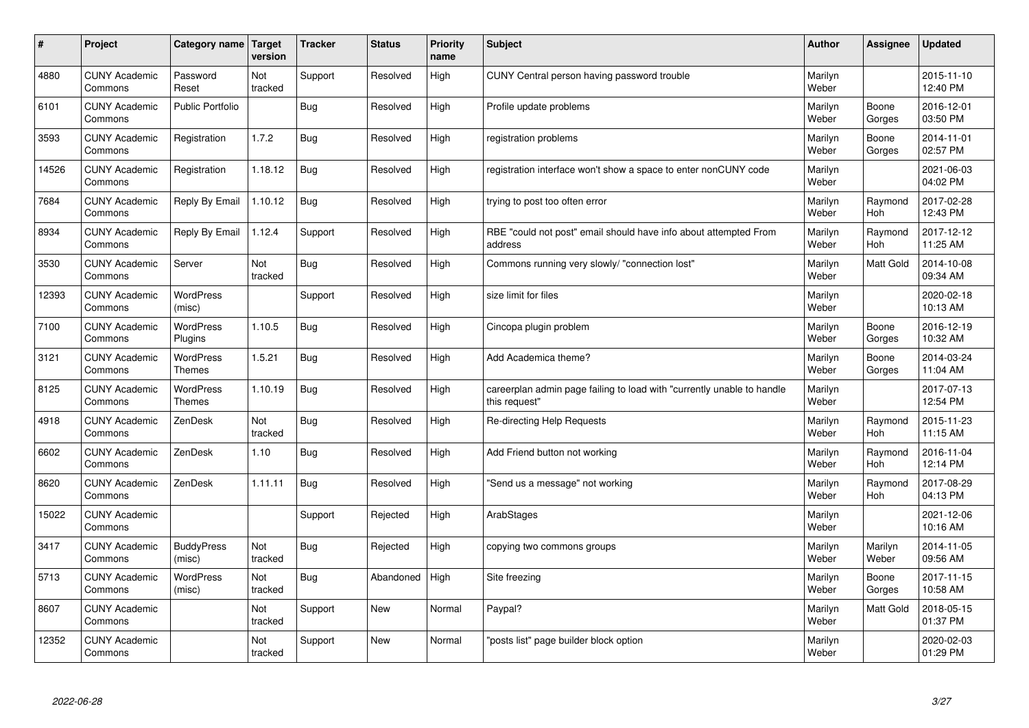| #     | Project                         | Category name   Target            | version        | <b>Tracker</b> | <b>Status</b> | <b>Priority</b><br>name | <b>Subject</b>                                                                          | <b>Author</b>    | <b>Assignee</b>  | <b>Updated</b>         |
|-------|---------------------------------|-----------------------------------|----------------|----------------|---------------|-------------------------|-----------------------------------------------------------------------------------------|------------------|------------------|------------------------|
| 4880  | <b>CUNY Academic</b><br>Commons | Password<br>Reset                 | Not<br>tracked | Support        | Resolved      | High                    | CUNY Central person having password trouble                                             | Marilyn<br>Weber |                  | 2015-11-10<br>12:40 PM |
| 6101  | <b>CUNY Academic</b><br>Commons | Public Portfolio                  |                | Bug            | Resolved      | High                    | Profile update problems                                                                 | Marilyn<br>Weber | Boone<br>Gorges  | 2016-12-01<br>03:50 PM |
| 3593  | <b>CUNY Academic</b><br>Commons | Registration                      | 1.7.2          | <b>Bug</b>     | Resolved      | High                    | registration problems                                                                   | Marilyn<br>Weber | Boone<br>Gorges  | 2014-11-01<br>02:57 PM |
| 14526 | <b>CUNY Academic</b><br>Commons | Registration                      | 1.18.12        | Bug            | Resolved      | High                    | registration interface won't show a space to enter nonCUNY code                         | Marilyn<br>Weber |                  | 2021-06-03<br>04:02 PM |
| 7684  | <b>CUNY Academic</b><br>Commons | Reply By Email                    | 1.10.12        | Bug            | Resolved      | High                    | trying to post too often error                                                          | Marilyn<br>Weber | Raymond<br>Hoh   | 2017-02-28<br>12:43 PM |
| 8934  | <b>CUNY Academic</b><br>Commons | Reply By Email                    | 1.12.4         | Support        | Resolved      | High                    | RBE "could not post" email should have info about attempted From<br>address             | Marilyn<br>Weber | Raymond<br>Hoh   | 2017-12-12<br>11:25 AM |
| 3530  | <b>CUNY Academic</b><br>Commons | Server                            | Not<br>tracked | Bug            | Resolved      | High                    | Commons running very slowly/ "connection lost"                                          | Marilyn<br>Weber | <b>Matt Gold</b> | 2014-10-08<br>09:34 AM |
| 12393 | <b>CUNY Academic</b><br>Commons | WordPress<br>(misc)               |                | Support        | Resolved      | High                    | size limit for files                                                                    | Marilyn<br>Weber |                  | 2020-02-18<br>10:13 AM |
| 7100  | <b>CUNY Academic</b><br>Commons | <b>WordPress</b><br>Plugins       | 1.10.5         | <b>Bug</b>     | Resolved      | High                    | Cincopa plugin problem                                                                  | Marilyn<br>Weber | Boone<br>Gorges  | 2016-12-19<br>10:32 AM |
| 3121  | <b>CUNY Academic</b><br>Commons | <b>WordPress</b><br>Themes        | 1.5.21         | Bug            | Resolved      | High                    | Add Academica theme?                                                                    | Marilyn<br>Weber | Boone<br>Gorges  | 2014-03-24<br>11:04 AM |
| 8125  | <b>CUNY Academic</b><br>Commons | <b>WordPress</b><br><b>Themes</b> | 1.10.19        | <b>Bug</b>     | Resolved      | High                    | careerplan admin page failing to load with "currently unable to handle<br>this request" | Marilyn<br>Weber |                  | 2017-07-13<br>12:54 PM |
| 4918  | <b>CUNY Academic</b><br>Commons | ZenDesk                           | Not<br>tracked | <b>Bug</b>     | Resolved      | High                    | Re-directing Help Requests                                                              | Marilyn<br>Weber | Raymond<br>Hoh   | 2015-11-23<br>11:15 AM |
| 6602  | <b>CUNY Academic</b><br>Commons | ZenDesk                           | 1.10           | Bug            | Resolved      | High                    | Add Friend button not working                                                           | Marilyn<br>Weber | Raymond<br>Hoh   | 2016-11-04<br>12:14 PM |
| 8620  | <b>CUNY Academic</b><br>Commons | ZenDesk                           | 1.11.11        | <b>Bug</b>     | Resolved      | High                    | 'Send us a message" not working                                                         | Marilyn<br>Weber | Raymond<br>Hoh   | 2017-08-29<br>04:13 PM |
| 15022 | <b>CUNY Academic</b><br>Commons |                                   |                | Support        | Rejected      | High                    | ArabStages                                                                              | Marilyn<br>Weber |                  | 2021-12-06<br>10:16 AM |
| 3417  | <b>CUNY Academic</b><br>Commons | <b>BuddyPress</b><br>(misc)       | Not<br>tracked | Bug            | Rejected      | High                    | copying two commons groups                                                              | Marilyn<br>Weber | Marilyn<br>Weber | 2014-11-05<br>09:56 AM |
| 5713  | <b>CUNY Academic</b><br>Commons | WordPress<br>(misc)               | Not<br>tracked | Bug            | Abandoned     | High                    | Site freezing                                                                           | Marilyn<br>Weber | Boone<br>Gorges  | 2017-11-15<br>10:58 AM |
| 8607  | <b>CUNY Academic</b><br>Commons |                                   | Not<br>tracked | Support        | <b>New</b>    | Normal                  | Paypal?                                                                                 | Marilyn<br>Weber | <b>Matt Gold</b> | 2018-05-15<br>01:37 PM |
| 12352 | <b>CUNY Academic</b><br>Commons |                                   | Not<br>tracked | Support        | <b>New</b>    | Normal                  | 'posts list" page builder block option                                                  | Marilyn<br>Weber |                  | 2020-02-03<br>01:29 PM |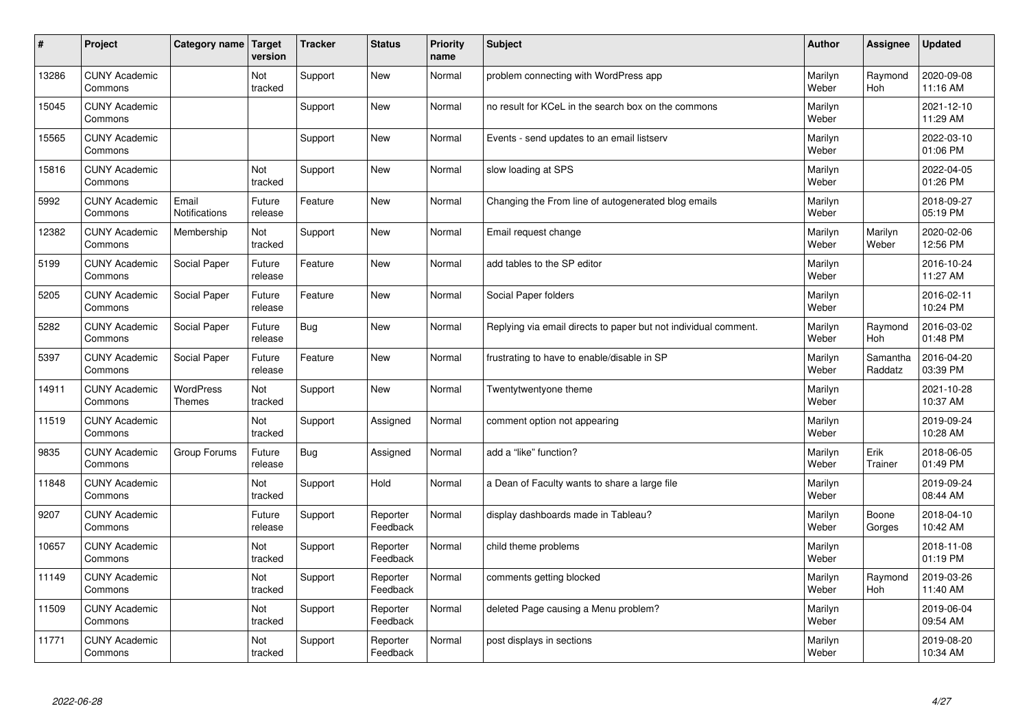| #     | Project                         | Category name              | Target<br>version | <b>Tracker</b> | <b>Status</b>        | <b>Priority</b><br>name | <b>Subject</b>                                                  | <b>Author</b>    | Assignee            | <b>Updated</b>         |
|-------|---------------------------------|----------------------------|-------------------|----------------|----------------------|-------------------------|-----------------------------------------------------------------|------------------|---------------------|------------------------|
| 13286 | <b>CUNY Academic</b><br>Commons |                            | Not<br>tracked    | Support        | <b>New</b>           | Normal                  | problem connecting with WordPress app                           | Marilyn<br>Weber | Raymond<br>Hoh      | 2020-09-08<br>11:16 AM |
| 15045 | <b>CUNY Academic</b><br>Commons |                            |                   | Support        | New                  | Normal                  | no result for KCeL in the search box on the commons             | Marilyn<br>Weber |                     | 2021-12-10<br>11:29 AM |
| 15565 | <b>CUNY Academic</b><br>Commons |                            |                   | Support        | <b>New</b>           | Normal                  | Events - send updates to an email listserv                      | Marilyn<br>Weber |                     | 2022-03-10<br>01:06 PM |
| 15816 | <b>CUNY Academic</b><br>Commons |                            | Not<br>tracked    | Support        | <b>New</b>           | Normal                  | slow loading at SPS                                             | Marilyn<br>Weber |                     | 2022-04-05<br>01:26 PM |
| 5992  | <b>CUNY Academic</b><br>Commons | Email<br>Notifications     | Future<br>release | Feature        | <b>New</b>           | Normal                  | Changing the From line of autogenerated blog emails             | Marilyn<br>Weber |                     | 2018-09-27<br>05:19 PM |
| 12382 | <b>CUNY Academic</b><br>Commons | Membership                 | Not<br>tracked    | Support        | <b>New</b>           | Normal                  | Email request change                                            | Marilyn<br>Weber | Marilyn<br>Weber    | 2020-02-06<br>12:56 PM |
| 5199  | <b>CUNY Academic</b><br>Commons | Social Paper               | Future<br>release | Feature        | New                  | Normal                  | add tables to the SP editor                                     | Marilyn<br>Weber |                     | 2016-10-24<br>11:27 AM |
| 5205  | <b>CUNY Academic</b><br>Commons | Social Paper               | Future<br>release | Feature        | <b>New</b>           | Normal                  | Social Paper folders                                            | Marilyn<br>Weber |                     | 2016-02-11<br>10:24 PM |
| 5282  | <b>CUNY Academic</b><br>Commons | Social Paper               | Future<br>release | Bug            | New                  | Normal                  | Replying via email directs to paper but not individual comment. | Marilyn<br>Weber | Raymond<br>Hoh      | 2016-03-02<br>01:48 PM |
| 5397  | <b>CUNY Academic</b><br>Commons | Social Paper               | Future<br>release | Feature        | <b>New</b>           | Normal                  | frustrating to have to enable/disable in SP                     | Marilyn<br>Weber | Samantha<br>Raddatz | 2016-04-20<br>03:39 PM |
| 14911 | <b>CUNY Academic</b><br>Commons | WordPress<br><b>Themes</b> | Not<br>tracked    | Support        | New                  | Normal                  | Twentytwentyone theme                                           | Marilyn<br>Weber |                     | 2021-10-28<br>10:37 AM |
| 11519 | <b>CUNY Academic</b><br>Commons |                            | Not<br>tracked    | Support        | Assigned             | Normal                  | comment option not appearing                                    | Marilyn<br>Weber |                     | 2019-09-24<br>10:28 AM |
| 9835  | <b>CUNY Academic</b><br>Commons | Group Forums               | Future<br>release | <b>Bug</b>     | Assigned             | Normal                  | add a "like" function?                                          | Marilyn<br>Weber | Erik<br>Trainer     | 2018-06-05<br>01:49 PM |
| 11848 | <b>CUNY Academic</b><br>Commons |                            | Not<br>tracked    | Support        | Hold                 | Normal                  | a Dean of Faculty wants to share a large file                   | Marilyn<br>Weber |                     | 2019-09-24<br>08:44 AM |
| 9207  | <b>CUNY Academic</b><br>Commons |                            | Future<br>release | Support        | Reporter<br>Feedback | Normal                  | display dashboards made in Tableau?                             | Marilyn<br>Weber | Boone<br>Gorges     | 2018-04-10<br>10:42 AM |
| 10657 | <b>CUNY Academic</b><br>Commons |                            | Not<br>tracked    | Support        | Reporter<br>Feedback | Normal                  | child theme problems                                            | Marilyn<br>Weber |                     | 2018-11-08<br>01:19 PM |
| 11149 | <b>CUNY Academic</b><br>Commons |                            | Not<br>tracked    | Support        | Reporter<br>Feedback | Normal                  | comments getting blocked                                        | Marilyn<br>Weber | Raymond<br>Hoh      | 2019-03-26<br>11:40 AM |
| 11509 | <b>CUNY Academic</b><br>Commons |                            | Not<br>tracked    | Support        | Reporter<br>Feedback | Normal                  | deleted Page causing a Menu problem?                            | Marilyn<br>Weber |                     | 2019-06-04<br>09:54 AM |
| 11771 | <b>CUNY Academic</b><br>Commons |                            | Not<br>tracked    | Support        | Reporter<br>Feedback | Normal                  | post displays in sections                                       | Marilyn<br>Weber |                     | 2019-08-20<br>10:34 AM |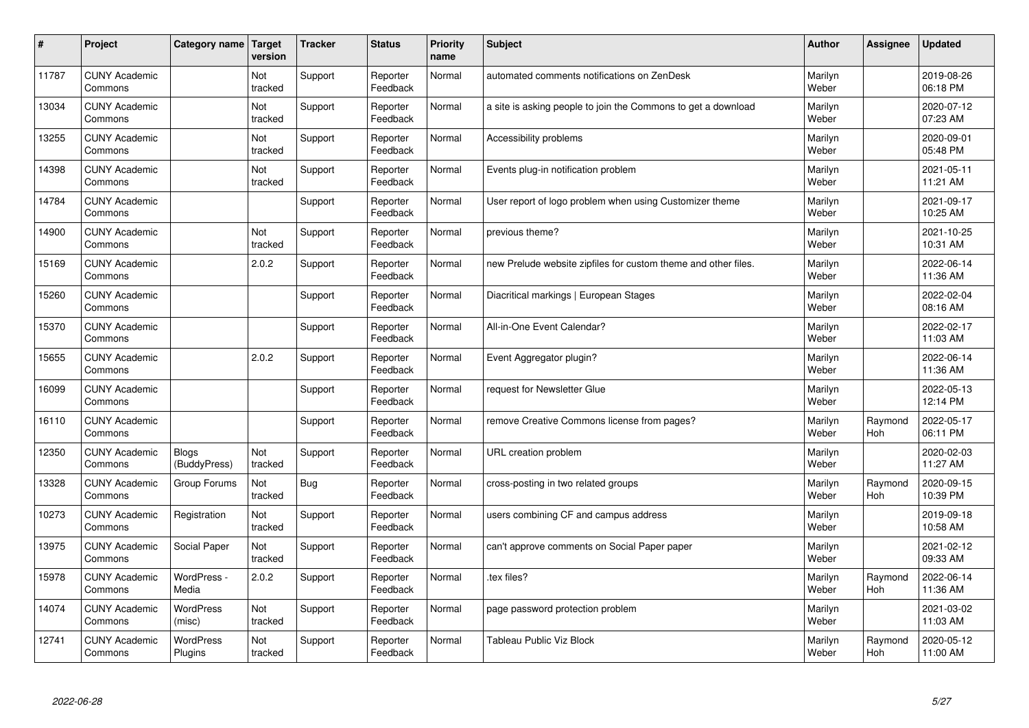| #     | Project                         | Category name                | Target<br>version | <b>Tracker</b> | <b>Status</b>        | <b>Priority</b><br>name | <b>Subject</b>                                                 | <b>Author</b>    | Assignee       | <b>Updated</b>         |
|-------|---------------------------------|------------------------------|-------------------|----------------|----------------------|-------------------------|----------------------------------------------------------------|------------------|----------------|------------------------|
| 11787 | <b>CUNY Academic</b><br>Commons |                              | Not<br>tracked    | Support        | Reporter<br>Feedback | Normal                  | automated comments notifications on ZenDesk                    | Marilyn<br>Weber |                | 2019-08-26<br>06:18 PM |
| 13034 | <b>CUNY Academic</b><br>Commons |                              | Not<br>tracked    | Support        | Reporter<br>Feedback | Normal                  | a site is asking people to join the Commons to get a download  | Marilyn<br>Weber |                | 2020-07-12<br>07:23 AM |
| 13255 | <b>CUNY Academic</b><br>Commons |                              | Not<br>tracked    | Support        | Reporter<br>Feedback | Normal                  | Accessibility problems                                         | Marilyn<br>Weber |                | 2020-09-01<br>05:48 PM |
| 14398 | <b>CUNY Academic</b><br>Commons |                              | Not<br>tracked    | Support        | Reporter<br>Feedback | Normal                  | Events plug-in notification problem                            | Marilyn<br>Weber |                | 2021-05-11<br>11:21 AM |
| 14784 | <b>CUNY Academic</b><br>Commons |                              |                   | Support        | Reporter<br>Feedback | Normal                  | User report of logo problem when using Customizer theme        | Marilyn<br>Weber |                | 2021-09-17<br>10:25 AM |
| 14900 | <b>CUNY Academic</b><br>Commons |                              | Not<br>tracked    | Support        | Reporter<br>Feedback | Normal                  | previous theme?                                                | Marilyn<br>Weber |                | 2021-10-25<br>10:31 AM |
| 15169 | <b>CUNY Academic</b><br>Commons |                              | 2.0.2             | Support        | Reporter<br>Feedback | Normal                  | new Prelude website zipfiles for custom theme and other files. | Marilyn<br>Weber |                | 2022-06-14<br>11:36 AM |
| 15260 | <b>CUNY Academic</b><br>Commons |                              |                   | Support        | Reporter<br>Feedback | Normal                  | Diacritical markings   European Stages                         | Marilyn<br>Weber |                | 2022-02-04<br>08:16 AM |
| 15370 | <b>CUNY Academic</b><br>Commons |                              |                   | Support        | Reporter<br>Feedback | Normal                  | All-in-One Event Calendar?                                     | Marilyn<br>Weber |                | 2022-02-17<br>11:03 AM |
| 15655 | <b>CUNY Academic</b><br>Commons |                              | 2.0.2             | Support        | Reporter<br>Feedback | Normal                  | Event Aggregator plugin?                                       | Marilyn<br>Weber |                | 2022-06-14<br>11:36 AM |
| 16099 | <b>CUNY Academic</b><br>Commons |                              |                   | Support        | Reporter<br>Feedback | Normal                  | request for Newsletter Glue                                    | Marilyn<br>Weber |                | 2022-05-13<br>12:14 PM |
| 16110 | <b>CUNY Academic</b><br>Commons |                              |                   | Support        | Reporter<br>Feedback | Normal                  | remove Creative Commons license from pages?                    | Marilyn<br>Weber | Raymond<br>Hoh | 2022-05-17<br>06:11 PM |
| 12350 | <b>CUNY Academic</b><br>Commons | <b>Blogs</b><br>(BuddyPress) | Not<br>tracked    | Support        | Reporter<br>Feedback | Normal                  | URL creation problem                                           | Marilyn<br>Weber |                | 2020-02-03<br>11:27 AM |
| 13328 | <b>CUNY Academic</b><br>Commons | Group Forums                 | Not<br>tracked    | Bug            | Reporter<br>Feedback | Normal                  | cross-posting in two related groups                            | Marilyn<br>Weber | Raymond<br>Hoh | 2020-09-15<br>10:39 PM |
| 10273 | <b>CUNY Academic</b><br>Commons | Registration                 | Not<br>tracked    | Support        | Reporter<br>Feedback | Normal                  | users combining CF and campus address                          | Marilyn<br>Weber |                | 2019-09-18<br>10:58 AM |
| 13975 | <b>CUNY Academic</b><br>Commons | Social Paper                 | Not<br>tracked    | Support        | Reporter<br>Feedback | Normal                  | can't approve comments on Social Paper paper                   | Marilyn<br>Weber |                | 2021-02-12<br>09:33 AM |
| 15978 | <b>CUNY Academic</b><br>Commons | WordPress -<br>Media         | 2.0.2             | Support        | Reporter<br>Feedback | Normal                  | tex files?                                                     | Marilyn<br>Weber | Raymond<br>Hoh | 2022-06-14<br>11:36 AM |
| 14074 | <b>CUNY Academic</b><br>Commons | <b>WordPress</b><br>(misc)   | Not<br>tracked    | Support        | Reporter<br>Feedback | Normal                  | page password protection problem                               | Marilyn<br>Weber |                | 2021-03-02<br>11:03 AM |
| 12741 | <b>CUNY Academic</b><br>Commons | <b>WordPress</b><br>Plugins  | Not<br>tracked    | Support        | Reporter<br>Feedback | Normal                  | Tableau Public Viz Block                                       | Marilyn<br>Weber | Raymond<br>Hoh | 2020-05-12<br>11:00 AM |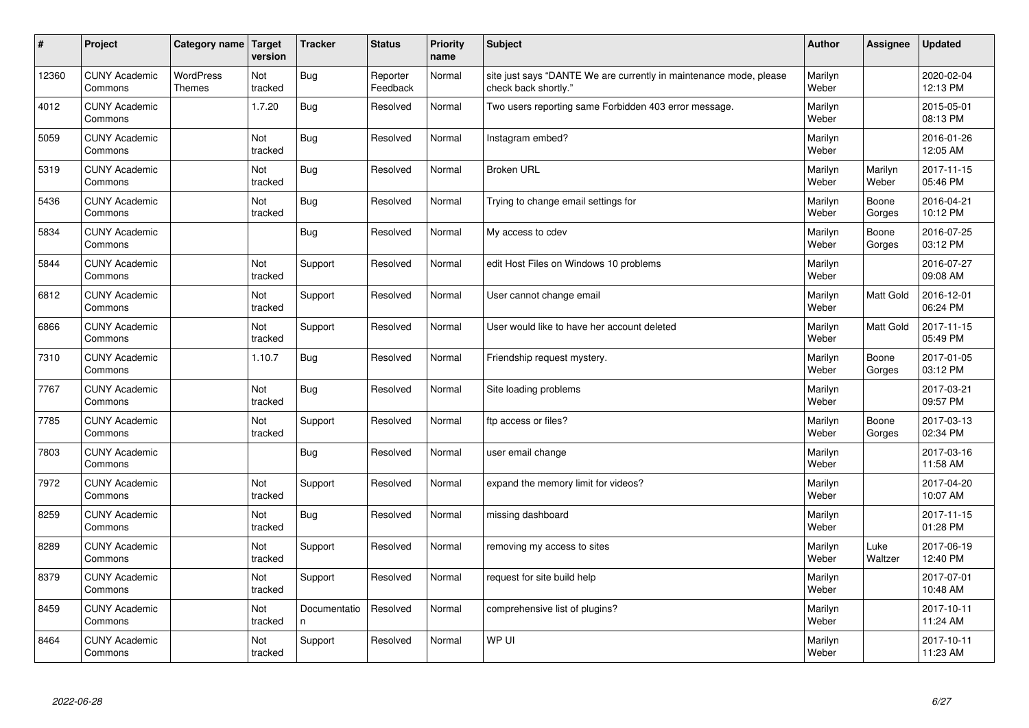| $\sharp$ | Project                         | Category name   Target            | version        | <b>Tracker</b>     | <b>Status</b>        | <b>Priority</b><br>name | <b>Subject</b>                                                                             | <b>Author</b>    | Assignee         | <b>Updated</b>         |
|----------|---------------------------------|-----------------------------------|----------------|--------------------|----------------------|-------------------------|--------------------------------------------------------------------------------------------|------------------|------------------|------------------------|
| 12360    | <b>CUNY Academic</b><br>Commons | <b>WordPress</b><br><b>Themes</b> | Not<br>tracked | Bug                | Reporter<br>Feedback | Normal                  | site just says "DANTE We are currently in maintenance mode, please<br>check back shortly." | Marilyn<br>Weber |                  | 2020-02-04<br>12:13 PM |
| 4012     | <b>CUNY Academic</b><br>Commons |                                   | 1.7.20         | Bug                | Resolved             | Normal                  | Two users reporting same Forbidden 403 error message.                                      | Marilyn<br>Weber |                  | 2015-05-01<br>08:13 PM |
| 5059     | <b>CUNY Academic</b><br>Commons |                                   | Not<br>tracked | Bug                | Resolved             | Normal                  | Instagram embed?                                                                           | Marilyn<br>Weber |                  | 2016-01-26<br>12:05 AM |
| 5319     | <b>CUNY Academic</b><br>Commons |                                   | Not<br>tracked | Bug                | Resolved             | Normal                  | <b>Broken URL</b>                                                                          | Marilyn<br>Weber | Marilyn<br>Weber | 2017-11-15<br>05:46 PM |
| 5436     | <b>CUNY Academic</b><br>Commons |                                   | Not<br>tracked | Bug                | Resolved             | Normal                  | Trying to change email settings for                                                        | Marilyn<br>Weber | Boone<br>Gorges  | 2016-04-21<br>10:12 PM |
| 5834     | <b>CUNY Academic</b><br>Commons |                                   |                | Bug                | Resolved             | Normal                  | My access to cdev                                                                          | Marilyn<br>Weber | Boone<br>Gorges  | 2016-07-25<br>03:12 PM |
| 5844     | <b>CUNY Academic</b><br>Commons |                                   | Not<br>tracked | Support            | Resolved             | Normal                  | edit Host Files on Windows 10 problems                                                     | Marilyn<br>Weber |                  | 2016-07-27<br>09:08 AM |
| 6812     | <b>CUNY Academic</b><br>Commons |                                   | Not<br>tracked | Support            | Resolved             | Normal                  | User cannot change email                                                                   | Marilyn<br>Weber | Matt Gold        | 2016-12-01<br>06:24 PM |
| 6866     | <b>CUNY Academic</b><br>Commons |                                   | Not<br>tracked | Support            | Resolved             | Normal                  | User would like to have her account deleted                                                | Marilyn<br>Weber | <b>Matt Gold</b> | 2017-11-15<br>05:49 PM |
| 7310     | <b>CUNY Academic</b><br>Commons |                                   | 1.10.7         | Bug                | Resolved             | Normal                  | Friendship request mystery.                                                                | Marilyn<br>Weber | Boone<br>Gorges  | 2017-01-05<br>03:12 PM |
| 7767     | <b>CUNY Academic</b><br>Commons |                                   | Not<br>tracked | <b>Bug</b>         | Resolved             | Normal                  | Site loading problems                                                                      | Marilyn<br>Weber |                  | 2017-03-21<br>09:57 PM |
| 7785     | <b>CUNY Academic</b><br>Commons |                                   | Not<br>tracked | Support            | Resolved             | Normal                  | ftp access or files?                                                                       | Marilyn<br>Weber | Boone<br>Gorges  | 2017-03-13<br>02:34 PM |
| 7803     | <b>CUNY Academic</b><br>Commons |                                   |                | Bug                | Resolved             | Normal                  | user email change                                                                          | Marilyn<br>Weber |                  | 2017-03-16<br>11:58 AM |
| 7972     | <b>CUNY Academic</b><br>Commons |                                   | Not<br>tracked | Support            | Resolved             | Normal                  | expand the memory limit for videos?                                                        | Marilyn<br>Weber |                  | 2017-04-20<br>10:07 AM |
| 8259     | <b>CUNY Academic</b><br>Commons |                                   | Not<br>tracked | Bug                | Resolved             | Normal                  | missing dashboard                                                                          | Marilyn<br>Weber |                  | 2017-11-15<br>01:28 PM |
| 8289     | <b>CUNY Academic</b><br>Commons |                                   | Not<br>tracked | Support            | Resolved             | Normal                  | removing my access to sites                                                                | Marilyn<br>Weber | Luke<br>Waltzer  | 2017-06-19<br>12:40 PM |
| 8379     | <b>CUNY Academic</b><br>Commons |                                   | Not<br>tracked | Support            | Resolved             | Normal                  | request for site build help                                                                | Marilyn<br>Weber |                  | 2017-07-01<br>10:48 AM |
| 8459     | <b>CUNY Academic</b><br>Commons |                                   | Not<br>tracked | Documentatio<br>n. | Resolved             | Normal                  | comprehensive list of plugins?                                                             | Marilyn<br>Weber |                  | 2017-10-11<br>11:24 AM |
| 8464     | <b>CUNY Academic</b><br>Commons |                                   | Not<br>tracked | Support            | Resolved             | Normal                  | WP UI                                                                                      | Marilyn<br>Weber |                  | 2017-10-11<br>11:23 AM |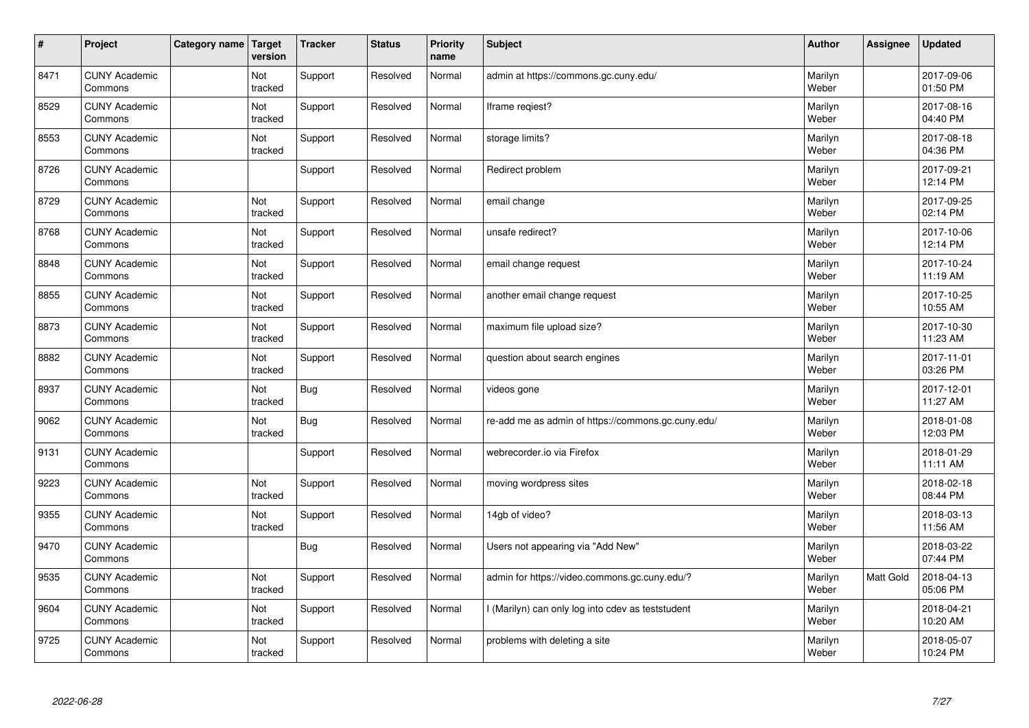| $\vert$ # | Project                         | Category name | Target<br>version | <b>Tracker</b> | <b>Status</b> | <b>Priority</b><br>name | <b>Subject</b>                                     | <b>Author</b>    | Assignee  | <b>Updated</b>         |
|-----------|---------------------------------|---------------|-------------------|----------------|---------------|-------------------------|----------------------------------------------------|------------------|-----------|------------------------|
| 8471      | <b>CUNY Academic</b><br>Commons |               | Not<br>tracked    | Support        | Resolved      | Normal                  | admin at https://commons.gc.cuny.edu/              | Marilyn<br>Weber |           | 2017-09-06<br>01:50 PM |
| 8529      | <b>CUNY Academic</b><br>Commons |               | Not<br>tracked    | Support        | Resolved      | Normal                  | Iframe regiest?                                    | Marilyn<br>Weber |           | 2017-08-16<br>04:40 PM |
| 8553      | <b>CUNY Academic</b><br>Commons |               | Not<br>tracked    | Support        | Resolved      | Normal                  | storage limits?                                    | Marilyn<br>Weber |           | 2017-08-18<br>04:36 PM |
| 8726      | <b>CUNY Academic</b><br>Commons |               |                   | Support        | Resolved      | Normal                  | Redirect problem                                   | Marilyn<br>Weber |           | 2017-09-21<br>12:14 PM |
| 8729      | <b>CUNY Academic</b><br>Commons |               | Not<br>tracked    | Support        | Resolved      | Normal                  | email change                                       | Marilyn<br>Weber |           | 2017-09-25<br>02:14 PM |
| 8768      | <b>CUNY Academic</b><br>Commons |               | Not<br>tracked    | Support        | Resolved      | Normal                  | unsafe redirect?                                   | Marilyn<br>Weber |           | 2017-10-06<br>12:14 PM |
| 8848      | <b>CUNY Academic</b><br>Commons |               | Not<br>tracked    | Support        | Resolved      | Normal                  | email change request                               | Marilyn<br>Weber |           | 2017-10-24<br>11:19 AM |
| 8855      | <b>CUNY Academic</b><br>Commons |               | Not<br>tracked    | Support        | Resolved      | Normal                  | another email change request                       | Marilyn<br>Weber |           | 2017-10-25<br>10:55 AM |
| 8873      | <b>CUNY Academic</b><br>Commons |               | Not<br>tracked    | Support        | Resolved      | Normal                  | maximum file upload size?                          | Marilyn<br>Weber |           | 2017-10-30<br>11:23 AM |
| 8882      | <b>CUNY Academic</b><br>Commons |               | Not<br>tracked    | Support        | Resolved      | Normal                  | question about search engines                      | Marilyn<br>Weber |           | 2017-11-01<br>03:26 PM |
| 8937      | <b>CUNY Academic</b><br>Commons |               | Not<br>tracked    | Bug            | Resolved      | Normal                  | videos gone                                        | Marilyn<br>Weber |           | 2017-12-01<br>11:27 AM |
| 9062      | <b>CUNY Academic</b><br>Commons |               | Not<br>tracked    | Bug            | Resolved      | Normal                  | re-add me as admin of https://commons.gc.cuny.edu/ | Marilyn<br>Weber |           | 2018-01-08<br>12:03 PM |
| 9131      | <b>CUNY Academic</b><br>Commons |               |                   | Support        | Resolved      | Normal                  | webrecorder.io via Firefox                         | Marilyn<br>Weber |           | 2018-01-29<br>11:11 AM |
| 9223      | <b>CUNY Academic</b><br>Commons |               | Not<br>tracked    | Support        | Resolved      | Normal                  | moving wordpress sites                             | Marilyn<br>Weber |           | 2018-02-18<br>08:44 PM |
| 9355      | <b>CUNY Academic</b><br>Commons |               | Not<br>tracked    | Support        | Resolved      | Normal                  | 14gb of video?                                     | Marilyn<br>Weber |           | 2018-03-13<br>11:56 AM |
| 9470      | <b>CUNY Academic</b><br>Commons |               |                   | <b>Bug</b>     | Resolved      | Normal                  | Users not appearing via "Add New"                  | Marilyn<br>Weber |           | 2018-03-22<br>07:44 PM |
| 9535      | <b>CUNY Academic</b><br>Commons |               | Not<br>tracked    | Support        | Resolved      | Normal                  | admin for https://video.commons.gc.cuny.edu/?      | Marilyn<br>Weber | Matt Gold | 2018-04-13<br>05:06 PM |
| 9604      | <b>CUNY Academic</b><br>Commons |               | Not<br>tracked    | Support        | Resolved      | Normal                  | (Marilyn) can only log into cdev as teststudent    | Marilyn<br>Weber |           | 2018-04-21<br>10:20 AM |
| 9725      | <b>CUNY Academic</b><br>Commons |               | Not<br>tracked    | Support        | Resolved      | Normal                  | problems with deleting a site                      | Marilyn<br>Weber |           | 2018-05-07<br>10:24 PM |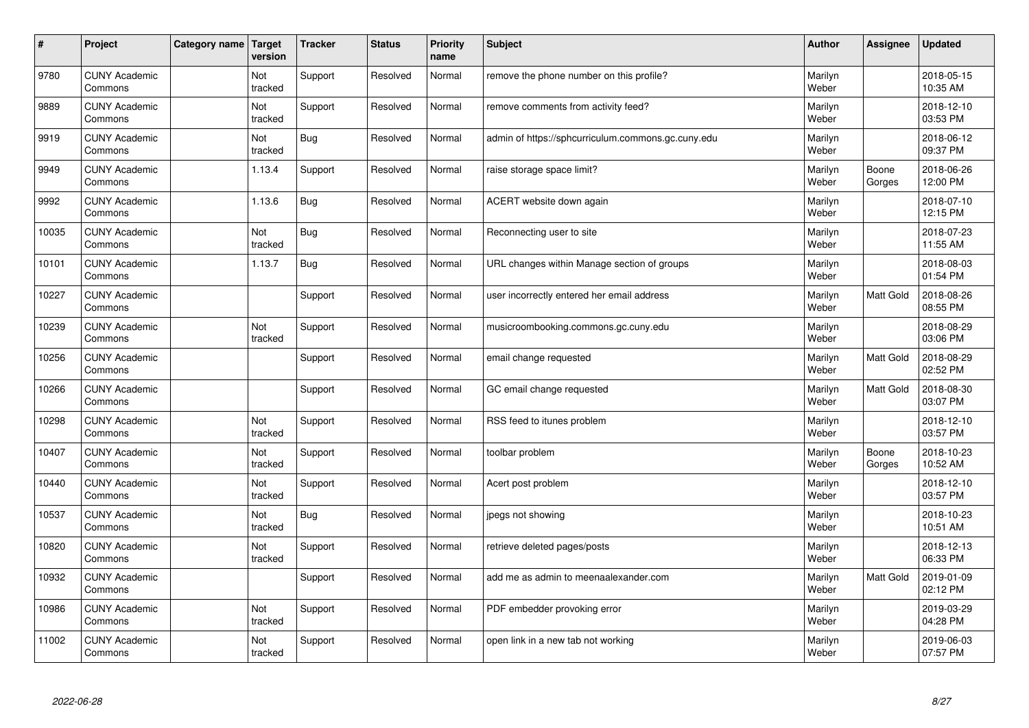| $\vert$ # | Project                         | Category name   Target | version        | <b>Tracker</b> | <b>Status</b> | <b>Priority</b><br>name | <b>Subject</b>                                     | <b>Author</b>    | Assignee        | <b>Updated</b>         |
|-----------|---------------------------------|------------------------|----------------|----------------|---------------|-------------------------|----------------------------------------------------|------------------|-----------------|------------------------|
| 9780      | <b>CUNY Academic</b><br>Commons |                        | Not<br>tracked | Support        | Resolved      | Normal                  | remove the phone number on this profile?           | Marilyn<br>Weber |                 | 2018-05-15<br>10:35 AM |
| 9889      | <b>CUNY Academic</b><br>Commons |                        | Not<br>tracked | Support        | Resolved      | Normal                  | remove comments from activity feed?                | Marilyn<br>Weber |                 | 2018-12-10<br>03:53 PM |
| 9919      | <b>CUNY Academic</b><br>Commons |                        | Not<br>tracked | <b>Bug</b>     | Resolved      | Normal                  | admin of https://sphcurriculum.commons.gc.cuny.edu | Marilyn<br>Weber |                 | 2018-06-12<br>09:37 PM |
| 9949      | <b>CUNY Academic</b><br>Commons |                        | 1.13.4         | Support        | Resolved      | Normal                  | raise storage space limit?                         | Marilyn<br>Weber | Boone<br>Gorges | 2018-06-26<br>12:00 PM |
| 9992      | <b>CUNY Academic</b><br>Commons |                        | 1.13.6         | <b>Bug</b>     | Resolved      | Normal                  | ACERT website down again                           | Marilyn<br>Weber |                 | 2018-07-10<br>12:15 PM |
| 10035     | <b>CUNY Academic</b><br>Commons |                        | Not<br>tracked | <b>Bug</b>     | Resolved      | Normal                  | Reconnecting user to site                          | Marilyn<br>Weber |                 | 2018-07-23<br>11:55 AM |
| 10101     | <b>CUNY Academic</b><br>Commons |                        | 1.13.7         | <b>Bug</b>     | Resolved      | Normal                  | URL changes within Manage section of groups        | Marilyn<br>Weber |                 | 2018-08-03<br>01:54 PM |
| 10227     | <b>CUNY Academic</b><br>Commons |                        |                | Support        | Resolved      | Normal                  | user incorrectly entered her email address         | Marilyn<br>Weber | Matt Gold       | 2018-08-26<br>08:55 PM |
| 10239     | <b>CUNY Academic</b><br>Commons |                        | Not<br>tracked | Support        | Resolved      | Normal                  | musicroombooking.commons.gc.cuny.edu               | Marilyn<br>Weber |                 | 2018-08-29<br>03:06 PM |
| 10256     | <b>CUNY Academic</b><br>Commons |                        |                | Support        | Resolved      | Normal                  | email change requested                             | Marilyn<br>Weber | Matt Gold       | 2018-08-29<br>02:52 PM |
| 10266     | <b>CUNY Academic</b><br>Commons |                        |                | Support        | Resolved      | Normal                  | GC email change requested                          | Marilyn<br>Weber | Matt Gold       | 2018-08-30<br>03:07 PM |
| 10298     | <b>CUNY Academic</b><br>Commons |                        | Not<br>tracked | Support        | Resolved      | Normal                  | RSS feed to itunes problem                         | Marilyn<br>Weber |                 | 2018-12-10<br>03:57 PM |
| 10407     | <b>CUNY Academic</b><br>Commons |                        | Not<br>tracked | Support        | Resolved      | Normal                  | toolbar problem                                    | Marilyn<br>Weber | Boone<br>Gorges | 2018-10-23<br>10:52 AM |
| 10440     | <b>CUNY Academic</b><br>Commons |                        | Not<br>tracked | Support        | Resolved      | Normal                  | Acert post problem                                 | Marilyn<br>Weber |                 | 2018-12-10<br>03:57 PM |
| 10537     | <b>CUNY Academic</b><br>Commons |                        | Not<br>tracked | Bug            | Resolved      | Normal                  | jpegs not showing                                  | Marilyn<br>Weber |                 | 2018-10-23<br>10:51 AM |
| 10820     | <b>CUNY Academic</b><br>Commons |                        | Not<br>tracked | Support        | Resolved      | Normal                  | retrieve deleted pages/posts                       | Marilyn<br>Weber |                 | 2018-12-13<br>06:33 PM |
| 10932     | <b>CUNY Academic</b><br>Commons |                        |                | Support        | Resolved      | Normal                  | add me as admin to meenaalexander.com              | Marilyn<br>Weber | Matt Gold       | 2019-01-09<br>02:12 PM |
| 10986     | <b>CUNY Academic</b><br>Commons |                        | Not<br>tracked | Support        | Resolved      | Normal                  | PDF embedder provoking error                       | Marilyn<br>Weber |                 | 2019-03-29<br>04:28 PM |
| 11002     | <b>CUNY Academic</b><br>Commons |                        | Not<br>tracked | Support        | Resolved      | Normal                  | open link in a new tab not working                 | Marilyn<br>Weber |                 | 2019-06-03<br>07:57 PM |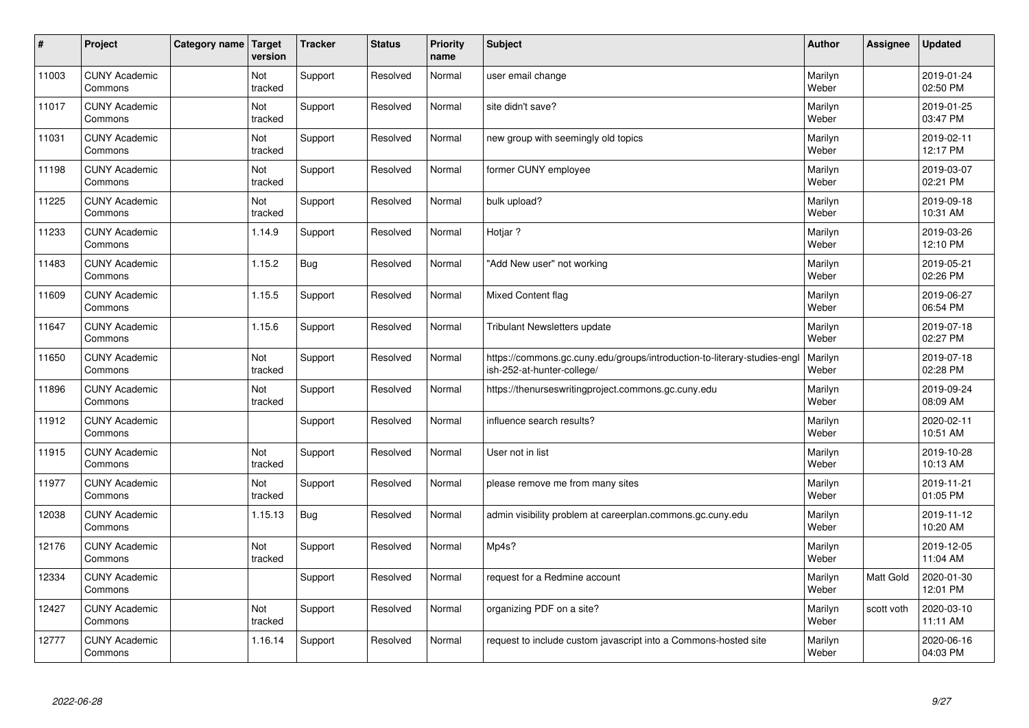| $\sharp$ | Project                         | Category name | Target<br>version | <b>Tracker</b> | <b>Status</b> | <b>Priority</b><br>name | <b>Subject</b>                                                                                         | <b>Author</b>    | Assignee   | <b>Updated</b>         |
|----------|---------------------------------|---------------|-------------------|----------------|---------------|-------------------------|--------------------------------------------------------------------------------------------------------|------------------|------------|------------------------|
| 11003    | <b>CUNY Academic</b><br>Commons |               | Not<br>tracked    | Support        | Resolved      | Normal                  | user email change                                                                                      | Marilyn<br>Weber |            | 2019-01-24<br>02:50 PM |
| 11017    | <b>CUNY Academic</b><br>Commons |               | Not<br>tracked    | Support        | Resolved      | Normal                  | site didn't save?                                                                                      | Marilyn<br>Weber |            | 2019-01-25<br>03:47 PM |
| 11031    | <b>CUNY Academic</b><br>Commons |               | Not<br>tracked    | Support        | Resolved      | Normal                  | new group with seemingly old topics                                                                    | Marilyn<br>Weber |            | 2019-02-11<br>12:17 PM |
| 11198    | <b>CUNY Academic</b><br>Commons |               | Not<br>tracked    | Support        | Resolved      | Normal                  | former CUNY employee                                                                                   | Marilyn<br>Weber |            | 2019-03-07<br>02:21 PM |
| 11225    | <b>CUNY Academic</b><br>Commons |               | Not<br>tracked    | Support        | Resolved      | Normal                  | bulk upload?                                                                                           | Marilyn<br>Weber |            | 2019-09-18<br>10:31 AM |
| 11233    | <b>CUNY Academic</b><br>Commons |               | 1.14.9            | Support        | Resolved      | Normal                  | Hotjar?                                                                                                | Marilyn<br>Weber |            | 2019-03-26<br>12:10 PM |
| 11483    | <b>CUNY Academic</b><br>Commons |               | 1.15.2            | <b>Bug</b>     | Resolved      | Normal                  | "Add New user" not working                                                                             | Marilyn<br>Weber |            | 2019-05-21<br>02:26 PM |
| 11609    | <b>CUNY Academic</b><br>Commons |               | 1.15.5            | Support        | Resolved      | Normal                  | Mixed Content flag                                                                                     | Marilyn<br>Weber |            | 2019-06-27<br>06:54 PM |
| 11647    | <b>CUNY Academic</b><br>Commons |               | 1.15.6            | Support        | Resolved      | Normal                  | <b>Tribulant Newsletters update</b>                                                                    | Marilyn<br>Weber |            | 2019-07-18<br>02:27 PM |
| 11650    | <b>CUNY Academic</b><br>Commons |               | Not<br>tracked    | Support        | Resolved      | Normal                  | https://commons.gc.cuny.edu/groups/introduction-to-literary-studies-engl<br>ish-252-at-hunter-college/ | Marilyn<br>Weber |            | 2019-07-18<br>02:28 PM |
| 11896    | <b>CUNY Academic</b><br>Commons |               | Not<br>tracked    | Support        | Resolved      | Normal                  | https://thenurseswritingproject.commons.gc.cuny.edu                                                    | Marilyn<br>Weber |            | 2019-09-24<br>08:09 AM |
| 11912    | <b>CUNY Academic</b><br>Commons |               |                   | Support        | Resolved      | Normal                  | influence search results?                                                                              | Marilyn<br>Weber |            | 2020-02-11<br>10:51 AM |
| 11915    | <b>CUNY Academic</b><br>Commons |               | Not<br>tracked    | Support        | Resolved      | Normal                  | User not in list                                                                                       | Marilyn<br>Weber |            | 2019-10-28<br>10:13 AM |
| 11977    | <b>CUNY Academic</b><br>Commons |               | Not<br>tracked    | Support        | Resolved      | Normal                  | please remove me from many sites                                                                       | Marilyn<br>Weber |            | 2019-11-21<br>01:05 PM |
| 12038    | <b>CUNY Academic</b><br>Commons |               | 1.15.13           | Bug            | Resolved      | Normal                  | admin visibility problem at careerplan.commons.gc.cuny.edu                                             | Marilyn<br>Weber |            | 2019-11-12<br>10:20 AM |
| 12176    | <b>CUNY Academic</b><br>Commons |               | Not<br>tracked    | Support        | Resolved      | Normal                  | Mp4s?                                                                                                  | Marilyn<br>Weber |            | 2019-12-05<br>11:04 AM |
| 12334    | <b>CUNY Academic</b><br>Commons |               |                   | Support        | Resolved      | Normal                  | request for a Redmine account                                                                          | Marilyn<br>Weber | Matt Gold  | 2020-01-30<br>12:01 PM |
| 12427    | <b>CUNY Academic</b><br>Commons |               | Not<br>tracked    | Support        | Resolved      | Normal                  | organizing PDF on a site?                                                                              | Marilyn<br>Weber | scott voth | 2020-03-10<br>11:11 AM |
| 12777    | <b>CUNY Academic</b><br>Commons |               | 1.16.14           | Support        | Resolved      | Normal                  | request to include custom javascript into a Commons-hosted site                                        | Marilyn<br>Weber |            | 2020-06-16<br>04:03 PM |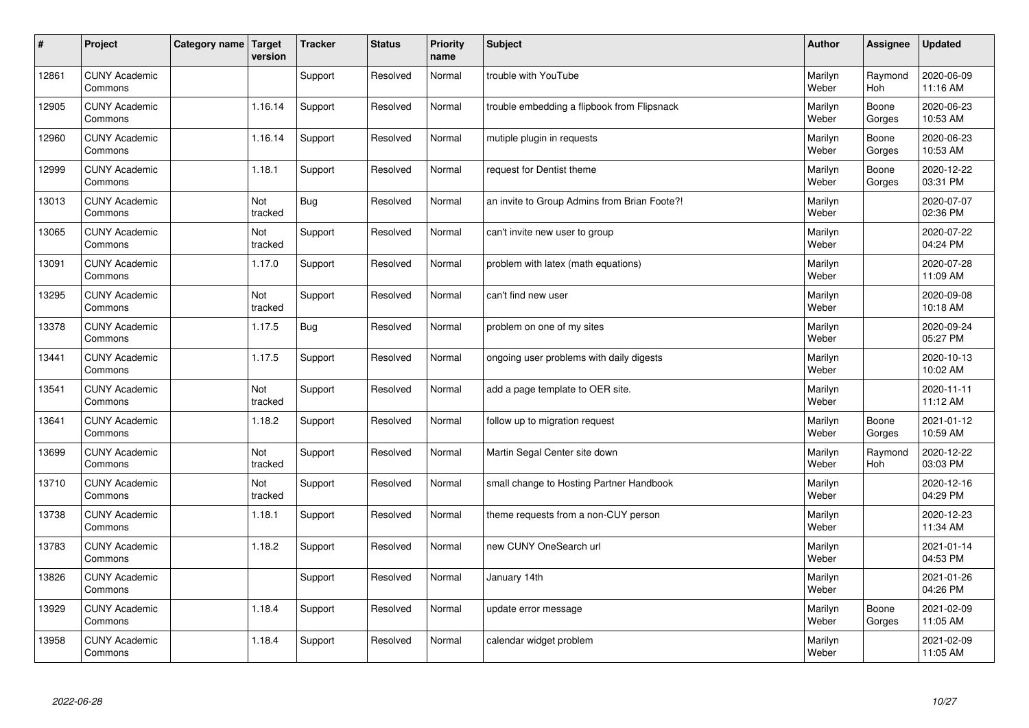| $\sharp$ | Project                         | Category name   Target | version        | <b>Tracker</b> | <b>Status</b> | <b>Priority</b><br>name | <b>Subject</b>                               | <b>Author</b>    | Assignee        | <b>Updated</b>         |
|----------|---------------------------------|------------------------|----------------|----------------|---------------|-------------------------|----------------------------------------------|------------------|-----------------|------------------------|
| 12861    | <b>CUNY Academic</b><br>Commons |                        |                | Support        | Resolved      | Normal                  | trouble with YouTube                         | Marilyn<br>Weber | Raymond<br>Hoh  | 2020-06-09<br>11:16 AM |
| 12905    | <b>CUNY Academic</b><br>Commons |                        | 1.16.14        | Support        | Resolved      | Normal                  | trouble embedding a flipbook from Flipsnack  | Marilyn<br>Weber | Boone<br>Gorges | 2020-06-23<br>10:53 AM |
| 12960    | <b>CUNY Academic</b><br>Commons |                        | 1.16.14        | Support        | Resolved      | Normal                  | mutiple plugin in requests                   | Marilyn<br>Weber | Boone<br>Gorges | 2020-06-23<br>10:53 AM |
| 12999    | <b>CUNY Academic</b><br>Commons |                        | 1.18.1         | Support        | Resolved      | Normal                  | request for Dentist theme                    | Marilyn<br>Weber | Boone<br>Gorges | 2020-12-22<br>03:31 PM |
| 13013    | <b>CUNY Academic</b><br>Commons |                        | Not<br>tracked | Bug            | Resolved      | Normal                  | an invite to Group Admins from Brian Foote?! | Marilyn<br>Weber |                 | 2020-07-07<br>02:36 PM |
| 13065    | <b>CUNY Academic</b><br>Commons |                        | Not<br>tracked | Support        | Resolved      | Normal                  | can't invite new user to group               | Marilyn<br>Weber |                 | 2020-07-22<br>04:24 PM |
| 13091    | <b>CUNY Academic</b><br>Commons |                        | 1.17.0         | Support        | Resolved      | Normal                  | problem with latex (math equations)          | Marilyn<br>Weber |                 | 2020-07-28<br>11:09 AM |
| 13295    | <b>CUNY Academic</b><br>Commons |                        | Not<br>tracked | Support        | Resolved      | Normal                  | can't find new user                          | Marilyn<br>Weber |                 | 2020-09-08<br>10:18 AM |
| 13378    | <b>CUNY Academic</b><br>Commons |                        | 1.17.5         | Bug            | Resolved      | Normal                  | problem on one of my sites                   | Marilyn<br>Weber |                 | 2020-09-24<br>05:27 PM |
| 13441    | <b>CUNY Academic</b><br>Commons |                        | 1.17.5         | Support        | Resolved      | Normal                  | ongoing user problems with daily digests     | Marilyn<br>Weber |                 | 2020-10-13<br>10:02 AM |
| 13541    | <b>CUNY Academic</b><br>Commons |                        | Not<br>tracked | Support        | Resolved      | Normal                  | add a page template to OER site.             | Marilyn<br>Weber |                 | 2020-11-11<br>11:12 AM |
| 13641    | <b>CUNY Academic</b><br>Commons |                        | 1.18.2         | Support        | Resolved      | Normal                  | follow up to migration request               | Marilyn<br>Weber | Boone<br>Gorges | 2021-01-12<br>10:59 AM |
| 13699    | <b>CUNY Academic</b><br>Commons |                        | Not<br>tracked | Support        | Resolved      | Normal                  | Martin Segal Center site down                | Marilyn<br>Weber | Raymond<br>Hoh  | 2020-12-22<br>03:03 PM |
| 13710    | <b>CUNY Academic</b><br>Commons |                        | Not<br>tracked | Support        | Resolved      | Normal                  | small change to Hosting Partner Handbook     | Marilyn<br>Weber |                 | 2020-12-16<br>04:29 PM |
| 13738    | <b>CUNY Academic</b><br>Commons |                        | 1.18.1         | Support        | Resolved      | Normal                  | theme requests from a non-CUY person         | Marilyn<br>Weber |                 | 2020-12-23<br>11:34 AM |
| 13783    | <b>CUNY Academic</b><br>Commons |                        | 1.18.2         | Support        | Resolved      | Normal                  | new CUNY OneSearch url                       | Marilyn<br>Weber |                 | 2021-01-14<br>04:53 PM |
| 13826    | <b>CUNY Academic</b><br>Commons |                        |                | Support        | Resolved      | Normal                  | January 14th                                 | Marilyn<br>Weber |                 | 2021-01-26<br>04:26 PM |
| 13929    | <b>CUNY Academic</b><br>Commons |                        | 1.18.4         | Support        | Resolved      | Normal                  | update error message                         | Marilyn<br>Weber | Boone<br>Gorges | 2021-02-09<br>11:05 AM |
| 13958    | <b>CUNY Academic</b><br>Commons |                        | 1.18.4         | Support        | Resolved      | Normal                  | calendar widget problem                      | Marilyn<br>Weber |                 | 2021-02-09<br>11:05 AM |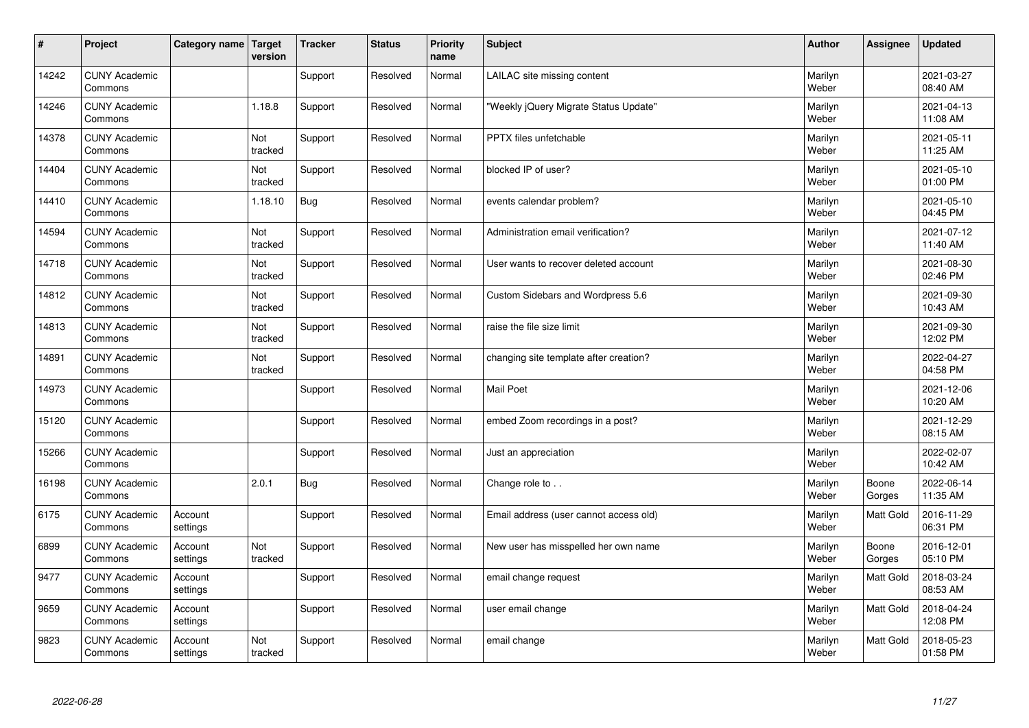| #     | Project                         | Category name   Target | version        | <b>Tracker</b> | <b>Status</b> | <b>Priority</b><br>name | <b>Subject</b>                         | <b>Author</b>    | Assignee        | <b>Updated</b>         |
|-------|---------------------------------|------------------------|----------------|----------------|---------------|-------------------------|----------------------------------------|------------------|-----------------|------------------------|
| 14242 | <b>CUNY Academic</b><br>Commons |                        |                | Support        | Resolved      | Normal                  | LAILAC site missing content            | Marilyn<br>Weber |                 | 2021-03-27<br>08:40 AM |
| 14246 | <b>CUNY Academic</b><br>Commons |                        | 1.18.8         | Support        | Resolved      | Normal                  | 'Weekly jQuery Migrate Status Update"  | Marilyn<br>Weber |                 | 2021-04-13<br>11:08 AM |
| 14378 | <b>CUNY Academic</b><br>Commons |                        | Not<br>tracked | Support        | Resolved      | Normal                  | PPTX files unfetchable                 | Marilyn<br>Weber |                 | 2021-05-11<br>11:25 AM |
| 14404 | <b>CUNY Academic</b><br>Commons |                        | Not<br>tracked | Support        | Resolved      | Normal                  | blocked IP of user?                    | Marilyn<br>Weber |                 | 2021-05-10<br>01:00 PM |
| 14410 | <b>CUNY Academic</b><br>Commons |                        | 1.18.10        | Bug            | Resolved      | Normal                  | events calendar problem?               | Marilyn<br>Weber |                 | 2021-05-10<br>04:45 PM |
| 14594 | <b>CUNY Academic</b><br>Commons |                        | Not<br>tracked | Support        | Resolved      | Normal                  | Administration email verification?     | Marilyn<br>Weber |                 | 2021-07-12<br>11:40 AM |
| 14718 | <b>CUNY Academic</b><br>Commons |                        | Not<br>tracked | Support        | Resolved      | Normal                  | User wants to recover deleted account  | Marilyn<br>Weber |                 | 2021-08-30<br>02:46 PM |
| 14812 | <b>CUNY Academic</b><br>Commons |                        | Not<br>tracked | Support        | Resolved      | Normal                  | Custom Sidebars and Wordpress 5.6      | Marilyn<br>Weber |                 | 2021-09-30<br>10:43 AM |
| 14813 | <b>CUNY Academic</b><br>Commons |                        | Not<br>tracked | Support        | Resolved      | Normal                  | raise the file size limit              | Marilyn<br>Weber |                 | 2021-09-30<br>12:02 PM |
| 14891 | <b>CUNY Academic</b><br>Commons |                        | Not<br>tracked | Support        | Resolved      | Normal                  | changing site template after creation? | Marilyn<br>Weber |                 | 2022-04-27<br>04:58 PM |
| 14973 | <b>CUNY Academic</b><br>Commons |                        |                | Support        | Resolved      | Normal                  | <b>Mail Poet</b>                       | Marilyn<br>Weber |                 | 2021-12-06<br>10:20 AM |
| 15120 | <b>CUNY Academic</b><br>Commons |                        |                | Support        | Resolved      | Normal                  | embed Zoom recordings in a post?       | Marilyn<br>Weber |                 | 2021-12-29<br>08:15 AM |
| 15266 | <b>CUNY Academic</b><br>Commons |                        |                | Support        | Resolved      | Normal                  | Just an appreciation                   | Marilyn<br>Weber |                 | 2022-02-07<br>10:42 AM |
| 16198 | <b>CUNY Academic</b><br>Commons |                        | 2.0.1          | <b>Bug</b>     | Resolved      | Normal                  | Change role to                         | Marilyn<br>Weber | Boone<br>Gorges | 2022-06-14<br>11:35 AM |
| 6175  | <b>CUNY Academic</b><br>Commons | Account<br>settings    |                | Support        | Resolved      | Normal                  | Email address (user cannot access old) | Marilyn<br>Weber | Matt Gold       | 2016-11-29<br>06:31 PM |
| 6899  | <b>CUNY Academic</b><br>Commons | Account<br>settings    | Not<br>tracked | Support        | Resolved      | Normal                  | New user has misspelled her own name   | Marilyn<br>Weber | Boone<br>Gorges | 2016-12-01<br>05:10 PM |
| 9477  | <b>CUNY Academic</b><br>Commons | Account<br>settings    |                | Support        | Resolved      | Normal                  | email change request                   | Marilyn<br>Weber | Matt Gold       | 2018-03-24<br>08:53 AM |
| 9659  | <b>CUNY Academic</b><br>Commons | Account<br>settings    |                | Support        | Resolved      | Normal                  | user email change                      | Marilyn<br>Weber | Matt Gold       | 2018-04-24<br>12:08 PM |
| 9823  | <b>CUNY Academic</b><br>Commons | Account<br>settings    | Not<br>tracked | Support        | Resolved      | Normal                  | email change                           | Marilyn<br>Weber | Matt Gold       | 2018-05-23<br>01:58 PM |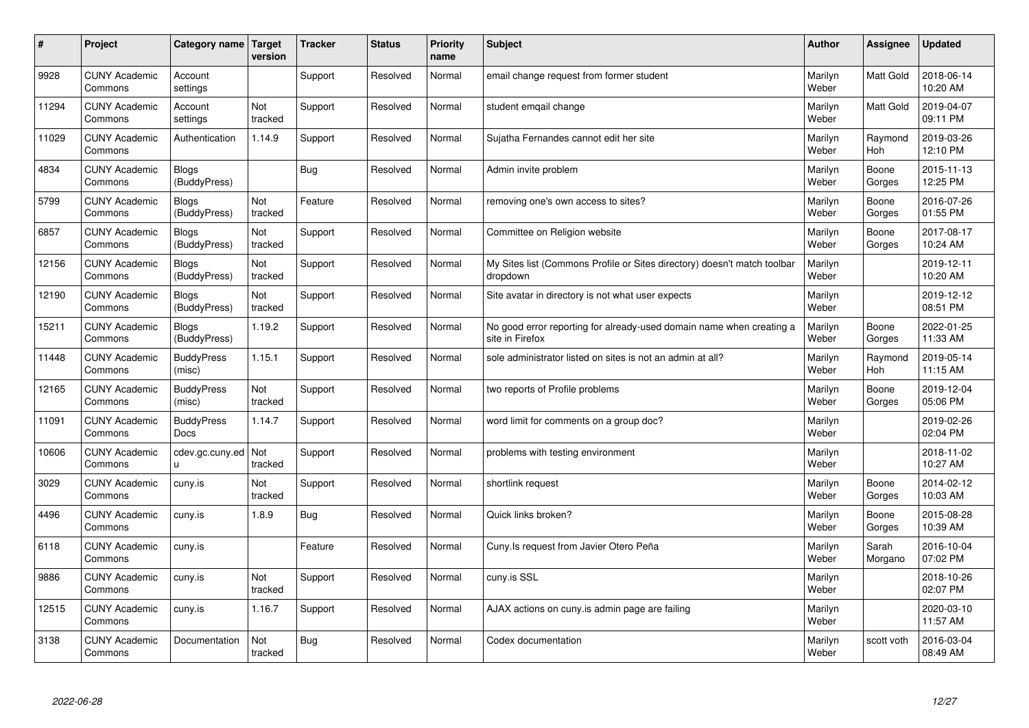| $\sharp$ | Project                         | Category name   Target       | version        | <b>Tracker</b> | <b>Status</b> | <b>Priority</b><br>name | <b>Subject</b>                                                                          | <b>Author</b>    | Assignee         | <b>Updated</b>         |
|----------|---------------------------------|------------------------------|----------------|----------------|---------------|-------------------------|-----------------------------------------------------------------------------------------|------------------|------------------|------------------------|
| 9928     | <b>CUNY Academic</b><br>Commons | Account<br>settings          |                | Support        | Resolved      | Normal                  | email change request from former student                                                | Marilyn<br>Weber | <b>Matt Gold</b> | 2018-06-14<br>10:20 AM |
| 11294    | <b>CUNY Academic</b><br>Commons | Account<br>settings          | Not<br>tracked | Support        | Resolved      | Normal                  | student emgail change                                                                   | Marilyn<br>Weber | <b>Matt Gold</b> | 2019-04-07<br>09:11 PM |
| 11029    | <b>CUNY Academic</b><br>Commons | Authentication               | 1.14.9         | Support        | Resolved      | Normal                  | Sujatha Fernandes cannot edit her site                                                  | Marilyn<br>Weber | Raymond<br>Hoh   | 2019-03-26<br>12:10 PM |
| 4834     | <b>CUNY Academic</b><br>Commons | Blogs<br>(BuddyPress)        |                | Bug            | Resolved      | Normal                  | Admin invite problem                                                                    | Marilyn<br>Weber | Boone<br>Gorges  | 2015-11-13<br>12:25 PM |
| 5799     | <b>CUNY Academic</b><br>Commons | <b>Blogs</b><br>(BuddyPress) | Not<br>tracked | Feature        | Resolved      | Normal                  | removing one's own access to sites?                                                     | Marilyn<br>Weber | Boone<br>Gorges  | 2016-07-26<br>01:55 PM |
| 6857     | <b>CUNY Academic</b><br>Commons | <b>Blogs</b><br>(BuddyPress) | Not<br>tracked | Support        | Resolved      | Normal                  | Committee on Religion website                                                           | Marilyn<br>Weber | Boone<br>Gorges  | 2017-08-17<br>10:24 AM |
| 12156    | <b>CUNY Academic</b><br>Commons | <b>Blogs</b><br>(BuddyPress) | Not<br>tracked | Support        | Resolved      | Normal                  | My Sites list (Commons Profile or Sites directory) doesn't match toolbar<br>dropdown    | Marilyn<br>Weber |                  | 2019-12-11<br>10:20 AM |
| 12190    | <b>CUNY Academic</b><br>Commons | <b>Blogs</b><br>(BuddyPress) | Not<br>tracked | Support        | Resolved      | Normal                  | Site avatar in directory is not what user expects                                       | Marilyn<br>Weber |                  | 2019-12-12<br>08:51 PM |
| 15211    | <b>CUNY Academic</b><br>Commons | <b>Blogs</b><br>(BuddyPress) | 1.19.2         | Support        | Resolved      | Normal                  | No good error reporting for already-used domain name when creating a<br>site in Firefox | Marilyn<br>Weber | Boone<br>Gorges  | 2022-01-25<br>11:33 AM |
| 11448    | <b>CUNY Academic</b><br>Commons | <b>BuddyPress</b><br>(misc)  | 1.15.1         | Support        | Resolved      | Normal                  | sole administrator listed on sites is not an admin at all?                              | Marilyn<br>Weber | Raymond<br>Hoh   | 2019-05-14<br>11:15 AM |
| 12165    | <b>CUNY Academic</b><br>Commons | <b>BuddyPress</b><br>(misc)  | Not<br>tracked | Support        | Resolved      | Normal                  | two reports of Profile problems                                                         | Marilyn<br>Weber | Boone<br>Gorges  | 2019-12-04<br>05:06 PM |
| 11091    | <b>CUNY Academic</b><br>Commons | <b>BuddyPress</b><br>Docs    | 1.14.7         | Support        | Resolved      | Normal                  | word limit for comments on a group doc?                                                 | Marilyn<br>Weber |                  | 2019-02-26<br>02:04 PM |
| 10606    | <b>CUNY Academic</b><br>Commons | cdev.gc.cuny.ed<br>u.        | Not<br>tracked | Support        | Resolved      | Normal                  | problems with testing environment                                                       | Marilyn<br>Weber |                  | 2018-11-02<br>10:27 AM |
| 3029     | <b>CUNY Academic</b><br>Commons | cuny.is                      | Not<br>tracked | Support        | Resolved      | Normal                  | shortlink request                                                                       | Marilyn<br>Weber | Boone<br>Gorges  | 2014-02-12<br>10:03 AM |
| 4496     | <b>CUNY Academic</b><br>Commons | cuny.is                      | 1.8.9          | <b>Bug</b>     | Resolved      | Normal                  | Quick links broken?                                                                     | Marilyn<br>Weber | Boone<br>Gorges  | 2015-08-28<br>10:39 AM |
| 6118     | <b>CUNY Academic</b><br>Commons | cuny.is                      |                | Feature        | Resolved      | Normal                  | Cuny.Is request from Javier Otero Peña                                                  | Marilyn<br>Weber | Sarah<br>Morgano | 2016-10-04<br>07:02 PM |
| 9886     | <b>CUNY Academic</b><br>Commons | cuny.is                      | Not<br>tracked | Support        | Resolved      | Normal                  | cuny.is SSL                                                                             | Marilyn<br>Weber |                  | 2018-10-26<br>02:07 PM |
| 12515    | <b>CUNY Academic</b><br>Commons | cuny.is                      | 1.16.7         | Support        | Resolved      | Normal                  | AJAX actions on cuny is admin page are failing                                          | Marilyn<br>Weber |                  | 2020-03-10<br>11:57 AM |
| 3138     | <b>CUNY Academic</b><br>Commons | Documentation                | Not<br>tracked | <b>Bug</b>     | Resolved      | Normal                  | Codex documentation                                                                     | Marilyn<br>Weber | scott voth       | 2016-03-04<br>08:49 AM |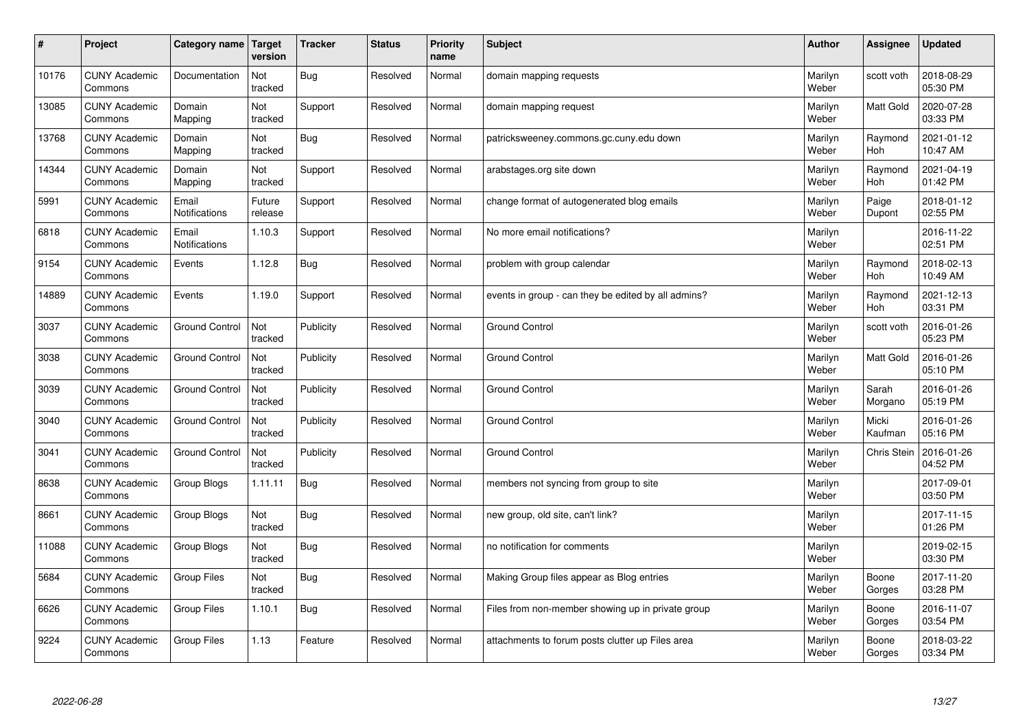| $\pmb{\sharp}$ | Project                         | Category name          | <b>Target</b><br>version | <b>Tracker</b> | <b>Status</b> | <b>Priority</b><br>name | Subject                                             | <b>Author</b>    | Assignee           | <b>Updated</b>         |
|----------------|---------------------------------|------------------------|--------------------------|----------------|---------------|-------------------------|-----------------------------------------------------|------------------|--------------------|------------------------|
| 10176          | <b>CUNY Academic</b><br>Commons | Documentation          | Not<br>tracked           | <b>Bug</b>     | Resolved      | Normal                  | domain mapping requests                             | Marilyn<br>Weber | scott voth         | 2018-08-29<br>05:30 PM |
| 13085          | <b>CUNY Academic</b><br>Commons | Domain<br>Mapping      | Not<br>tracked           | Support        | Resolved      | Normal                  | domain mapping request                              | Marilyn<br>Weber | Matt Gold          | 2020-07-28<br>03:33 PM |
| 13768          | <b>CUNY Academic</b><br>Commons | Domain<br>Mapping      | Not<br>tracked           | Bug            | Resolved      | Normal                  | patricksweeney.commons.gc.cuny.edu down             | Marilyn<br>Weber | Raymond<br>Hoh     | 2021-01-12<br>10:47 AM |
| 14344          | <b>CUNY Academic</b><br>Commons | Domain<br>Mapping      | Not<br>tracked           | Support        | Resolved      | Normal                  | arabstages.org site down                            | Marilyn<br>Weber | Raymond<br>Hoh     | 2021-04-19<br>01:42 PM |
| 5991           | <b>CUNY Academic</b><br>Commons | Email<br>Notifications | Future<br>release        | Support        | Resolved      | Normal                  | change format of autogenerated blog emails          | Marilyn<br>Weber | Paige<br>Dupont    | 2018-01-12<br>02:55 PM |
| 6818           | <b>CUNY Academic</b><br>Commons | Email<br>Notifications | 1.10.3                   | Support        | Resolved      | Normal                  | No more email notifications?                        | Marilyn<br>Weber |                    | 2016-11-22<br>02:51 PM |
| 9154           | <b>CUNY Academic</b><br>Commons | Events                 | 1.12.8                   | Bug            | Resolved      | Normal                  | problem with group calendar                         | Marilyn<br>Weber | Raymond<br>Hoh     | 2018-02-13<br>10:49 AM |
| 14889          | <b>CUNY Academic</b><br>Commons | Events                 | 1.19.0                   | Support        | Resolved      | Normal                  | events in group - can they be edited by all admins? | Marilyn<br>Weber | Raymond<br>Hoh     | 2021-12-13<br>03:31 PM |
| 3037           | <b>CUNY Academic</b><br>Commons | <b>Ground Control</b>  | Not<br>tracked           | Publicity      | Resolved      | Normal                  | <b>Ground Control</b>                               | Marilyn<br>Weber | scott voth         | 2016-01-26<br>05:23 PM |
| 3038           | <b>CUNY Academic</b><br>Commons | <b>Ground Control</b>  | Not<br>tracked           | Publicity      | Resolved      | Normal                  | <b>Ground Control</b>                               | Marilyn<br>Weber | Matt Gold          | 2016-01-26<br>05:10 PM |
| 3039           | <b>CUNY Academic</b><br>Commons | <b>Ground Control</b>  | Not<br>tracked           | Publicity      | Resolved      | Normal                  | <b>Ground Control</b>                               | Marilyn<br>Weber | Sarah<br>Morgano   | 2016-01-26<br>05:19 PM |
| 3040           | <b>CUNY Academic</b><br>Commons | Ground Control         | Not<br>tracked           | Publicity      | Resolved      | Normal                  | <b>Ground Control</b>                               | Marilyn<br>Weber | Micki<br>Kaufman   | 2016-01-26<br>05:16 PM |
| 3041           | <b>CUNY Academic</b><br>Commons | <b>Ground Control</b>  | Not<br>tracked           | Publicity      | Resolved      | Normal                  | <b>Ground Control</b>                               | Marilyn<br>Weber | <b>Chris Stein</b> | 2016-01-26<br>04:52 PM |
| 8638           | <b>CUNY Academic</b><br>Commons | Group Blogs            | 1.11.11                  | <b>Bug</b>     | Resolved      | Normal                  | members not syncing from group to site              | Marilyn<br>Weber |                    | 2017-09-01<br>03:50 PM |
| 8661           | <b>CUNY Academic</b><br>Commons | Group Blogs            | Not<br>tracked           | Bug            | Resolved      | Normal                  | new group, old site, can't link?                    | Marilyn<br>Weber |                    | 2017-11-15<br>01:26 PM |
| 11088          | <b>CUNY Academic</b><br>Commons | Group Blogs            | Not<br>tracked           | <b>Bug</b>     | Resolved      | Normal                  | no notification for comments                        | Marilyn<br>Weber |                    | 2019-02-15<br>03:30 PM |
| 5684           | <b>CUNY Academic</b><br>Commons | Group Files            | Not<br>tracked           | <b>Bug</b>     | Resolved      | Normal                  | Making Group files appear as Blog entries           | Marilyn<br>Weber | Boone<br>Gorges    | 2017-11-20<br>03:28 PM |
| 6626           | <b>CUNY Academic</b><br>Commons | <b>Group Files</b>     | 1.10.1                   | Bug            | Resolved      | Normal                  | Files from non-member showing up in private group   | Marilyn<br>Weber | Boone<br>Gorges    | 2016-11-07<br>03:54 PM |
| 9224           | <b>CUNY Academic</b><br>Commons | <b>Group Files</b>     | 1.13                     | Feature        | Resolved      | Normal                  | attachments to forum posts clutter up Files area    | Marilyn<br>Weber | Boone<br>Gorges    | 2018-03-22<br>03:34 PM |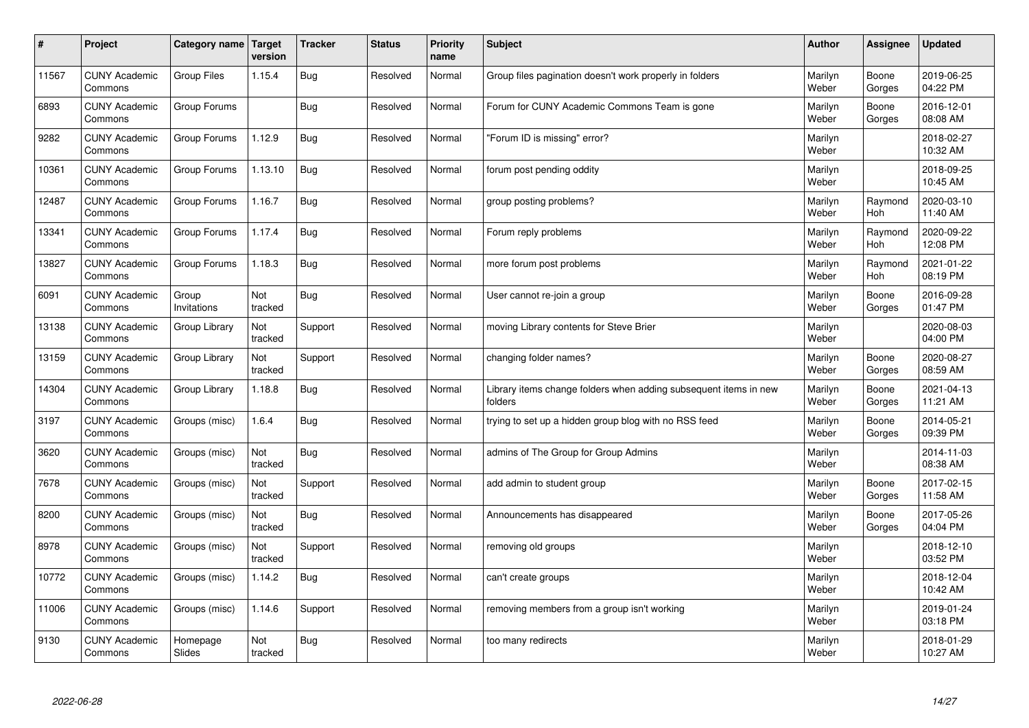| $\sharp$ | Project                         | Category name   Target | version        | <b>Tracker</b> | <b>Status</b> | <b>Priority</b><br>name | <b>Subject</b>                                                              | <b>Author</b>    | Assignee        | <b>Updated</b>         |
|----------|---------------------------------|------------------------|----------------|----------------|---------------|-------------------------|-----------------------------------------------------------------------------|------------------|-----------------|------------------------|
| 11567    | <b>CUNY Academic</b><br>Commons | <b>Group Files</b>     | 1.15.4         | Bug            | Resolved      | Normal                  | Group files pagination doesn't work properly in folders                     | Marilyn<br>Weber | Boone<br>Gorges | 2019-06-25<br>04:22 PM |
| 6893     | <b>CUNY Academic</b><br>Commons | Group Forums           |                | Bug            | Resolved      | Normal                  | Forum for CUNY Academic Commons Team is gone                                | Marilyn<br>Weber | Boone<br>Gorges | 2016-12-01<br>08:08 AM |
| 9282     | <b>CUNY Academic</b><br>Commons | Group Forums           | 1.12.9         | <b>Bug</b>     | Resolved      | Normal                  | 'Forum ID is missing" error?                                                | Marilyn<br>Weber |                 | 2018-02-27<br>10:32 AM |
| 10361    | <b>CUNY Academic</b><br>Commons | Group Forums           | 1.13.10        | <b>Bug</b>     | Resolved      | Normal                  | forum post pending oddity                                                   | Marilyn<br>Weber |                 | 2018-09-25<br>10:45 AM |
| 12487    | <b>CUNY Academic</b><br>Commons | Group Forums           | 1.16.7         | Bug            | Resolved      | Normal                  | group posting problems?                                                     | Marilyn<br>Weber | Raymond<br>Hoh  | 2020-03-10<br>11:40 AM |
| 13341    | <b>CUNY Academic</b><br>Commons | Group Forums           | 1.17.4         | Bug            | Resolved      | Normal                  | Forum reply problems                                                        | Marilyn<br>Weber | Raymond<br>Hoh  | 2020-09-22<br>12:08 PM |
| 13827    | <b>CUNY Academic</b><br>Commons | Group Forums           | 1.18.3         | <b>Bug</b>     | Resolved      | Normal                  | more forum post problems                                                    | Marilyn<br>Weber | Raymond<br>Hoh  | 2021-01-22<br>08:19 PM |
| 6091     | <b>CUNY Academic</b><br>Commons | Group<br>Invitations   | Not<br>tracked | Bug            | Resolved      | Normal                  | User cannot re-join a group                                                 | Marilyn<br>Weber | Boone<br>Gorges | 2016-09-28<br>01:47 PM |
| 13138    | <b>CUNY Academic</b><br>Commons | Group Library          | Not<br>tracked | Support        | Resolved      | Normal                  | moving Library contents for Steve Brier                                     | Marilyn<br>Weber |                 | 2020-08-03<br>04:00 PM |
| 13159    | <b>CUNY Academic</b><br>Commons | Group Library          | Not<br>tracked | Support        | Resolved      | Normal                  | changing folder names?                                                      | Marilyn<br>Weber | Boone<br>Gorges | 2020-08-27<br>08:59 AM |
| 14304    | <b>CUNY Academic</b><br>Commons | Group Library          | 1.18.8         | <b>Bug</b>     | Resolved      | Normal                  | Library items change folders when adding subsequent items in new<br>folders | Marilyn<br>Weber | Boone<br>Gorges | 2021-04-13<br>11:21 AM |
| 3197     | <b>CUNY Academic</b><br>Commons | Groups (misc)          | 1.6.4          | <b>Bug</b>     | Resolved      | Normal                  | trying to set up a hidden group blog with no RSS feed                       | Marilyn<br>Weber | Boone<br>Gorges | 2014-05-21<br>09:39 PM |
| 3620     | <b>CUNY Academic</b><br>Commons | Groups (misc)          | Not<br>tracked | <b>Bug</b>     | Resolved      | Normal                  | admins of The Group for Group Admins                                        | Marilyn<br>Weber |                 | 2014-11-03<br>08:38 AM |
| 7678     | <b>CUNY Academic</b><br>Commons | Groups (misc)          | Not<br>tracked | Support        | Resolved      | Normal                  | add admin to student group                                                  | Marilyn<br>Weber | Boone<br>Gorges | 2017-02-15<br>11:58 AM |
| 8200     | <b>CUNY Academic</b><br>Commons | Groups (misc)          | Not<br>tracked | <b>Bug</b>     | Resolved      | Normal                  | Announcements has disappeared                                               | Marilyn<br>Weber | Boone<br>Gorges | 2017-05-26<br>04:04 PM |
| 8978     | <b>CUNY Academic</b><br>Commons | Groups (misc)          | Not<br>tracked | Support        | Resolved      | Normal                  | removing old groups                                                         | Marilyn<br>Weber |                 | 2018-12-10<br>03:52 PM |
| 10772    | <b>CUNY Academic</b><br>Commons | Groups (misc)          | 1.14.2         | Bug            | Resolved      | Normal                  | can't create groups                                                         | Marilyn<br>Weber |                 | 2018-12-04<br>10:42 AM |
| 11006    | <b>CUNY Academic</b><br>Commons | Groups (misc)          | 1.14.6         | Support        | Resolved      | Normal                  | removing members from a group isn't working                                 | Marilyn<br>Weber |                 | 2019-01-24<br>03:18 PM |
| 9130     | <b>CUNY Academic</b><br>Commons | Homepage<br>Slides     | Not<br>tracked | Bug            | Resolved      | Normal                  | too many redirects                                                          | Marilyn<br>Weber |                 | 2018-01-29<br>10:27 AM |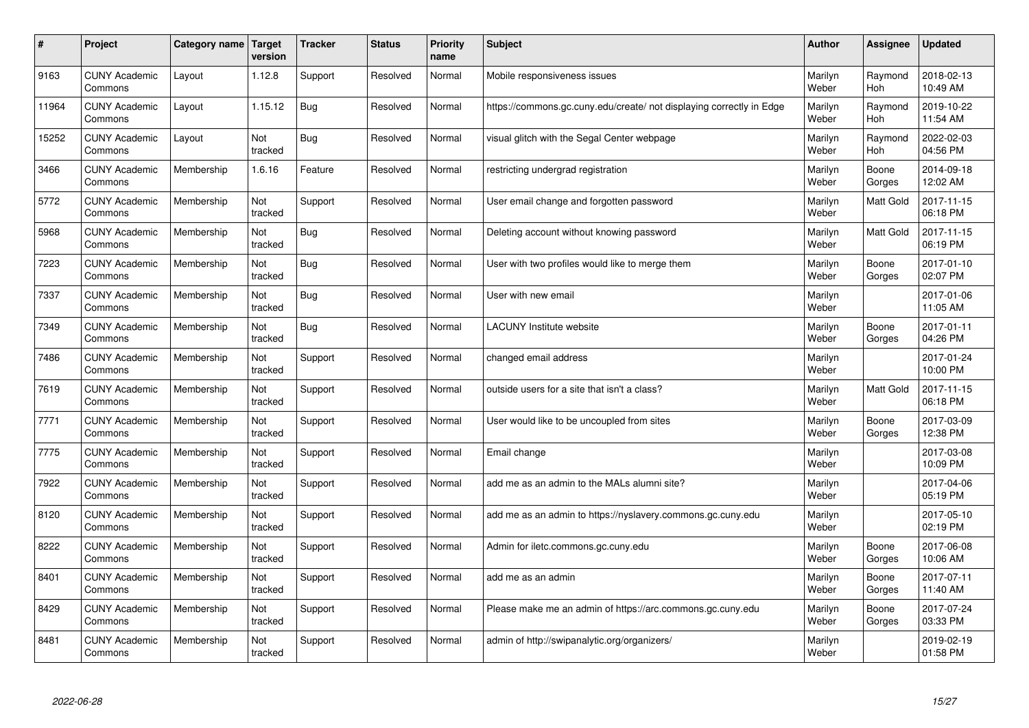| $\pmb{\sharp}$ | Project                         | Category name | <b>Target</b><br>version | <b>Tracker</b> | <b>Status</b> | <b>Priority</b><br>name | <b>Subject</b>                                                       | <b>Author</b>    | Assignee         | <b>Updated</b>         |
|----------------|---------------------------------|---------------|--------------------------|----------------|---------------|-------------------------|----------------------------------------------------------------------|------------------|------------------|------------------------|
| 9163           | <b>CUNY Academic</b><br>Commons | Layout        | 1.12.8                   | Support        | Resolved      | Normal                  | Mobile responsiveness issues                                         | Marilyn<br>Weber | Raymond<br>Hoh   | 2018-02-13<br>10:49 AM |
| 11964          | <b>CUNY Academic</b><br>Commons | Layout        | 1.15.12                  | <b>Bug</b>     | Resolved      | Normal                  | https://commons.gc.cuny.edu/create/ not displaying correctly in Edge | Marilyn<br>Weber | Raymond<br>Hoh   | 2019-10-22<br>11:54 AM |
| 15252          | <b>CUNY Academic</b><br>Commons | Layout        | Not<br>tracked           | <b>Bug</b>     | Resolved      | Normal                  | visual glitch with the Segal Center webpage                          | Marilyn<br>Weber | Raymond<br>Hoh   | 2022-02-03<br>04:56 PM |
| 3466           | <b>CUNY Academic</b><br>Commons | Membership    | 1.6.16                   | Feature        | Resolved      | Normal                  | restricting undergrad registration                                   | Marilyn<br>Weber | Boone<br>Gorges  | 2014-09-18<br>12:02 AM |
| 5772           | <b>CUNY Academic</b><br>Commons | Membership    | Not<br>tracked           | Support        | Resolved      | Normal                  | User email change and forgotten password                             | Marilyn<br>Weber | <b>Matt Gold</b> | 2017-11-15<br>06:18 PM |
| 5968           | <b>CUNY Academic</b><br>Commons | Membership    | Not<br>tracked           | Bug            | Resolved      | Normal                  | Deleting account without knowing password                            | Marilyn<br>Weber | Matt Gold        | 2017-11-15<br>06:19 PM |
| 7223           | <b>CUNY Academic</b><br>Commons | Membership    | Not<br>tracked           | <b>Bug</b>     | Resolved      | Normal                  | User with two profiles would like to merge them                      | Marilyn<br>Weber | Boone<br>Gorges  | 2017-01-10<br>02:07 PM |
| 7337           | <b>CUNY Academic</b><br>Commons | Membership    | Not<br>tracked           | Bug            | Resolved      | Normal                  | User with new email                                                  | Marilyn<br>Weber |                  | 2017-01-06<br>11:05 AM |
| 7349           | <b>CUNY Academic</b><br>Commons | Membership    | Not<br>tracked           | <b>Bug</b>     | Resolved      | Normal                  | <b>LACUNY</b> Institute website                                      | Marilyn<br>Weber | Boone<br>Gorges  | 2017-01-11<br>04:26 PM |
| 7486           | <b>CUNY Academic</b><br>Commons | Membership    | Not<br>tracked           | Support        | Resolved      | Normal                  | changed email address                                                | Marilyn<br>Weber |                  | 2017-01-24<br>10:00 PM |
| 7619           | <b>CUNY Academic</b><br>Commons | Membership    | Not<br>tracked           | Support        | Resolved      | Normal                  | outside users for a site that isn't a class?                         | Marilyn<br>Weber | Matt Gold        | 2017-11-15<br>06:18 PM |
| 7771           | <b>CUNY Academic</b><br>Commons | Membership    | Not<br>tracked           | Support        | Resolved      | Normal                  | User would like to be uncoupled from sites                           | Marilyn<br>Weber | Boone<br>Gorges  | 2017-03-09<br>12:38 PM |
| 7775           | <b>CUNY Academic</b><br>Commons | Membership    | Not<br>tracked           | Support        | Resolved      | Normal                  | Email change                                                         | Marilyn<br>Weber |                  | 2017-03-08<br>10:09 PM |
| 7922           | <b>CUNY Academic</b><br>Commons | Membership    | Not<br>tracked           | Support        | Resolved      | Normal                  | add me as an admin to the MALs alumni site?                          | Marilyn<br>Weber |                  | 2017-04-06<br>05:19 PM |
| 8120           | <b>CUNY Academic</b><br>Commons | Membership    | Not<br>tracked           | Support        | Resolved      | Normal                  | add me as an admin to https://nyslavery.commons.gc.cuny.edu          | Marilyn<br>Weber |                  | 2017-05-10<br>02:19 PM |
| 8222           | <b>CUNY Academic</b><br>Commons | Membership    | Not<br>tracked           | Support        | Resolved      | Normal                  | Admin for iletc.commons.gc.cuny.edu                                  | Marilyn<br>Weber | Boone<br>Gorges  | 2017-06-08<br>10:06 AM |
| 8401           | <b>CUNY Academic</b><br>Commons | Membership    | Not<br>tracked           | Support        | Resolved      | Normal                  | add me as an admin                                                   | Marilyn<br>Weber | Boone<br>Gorges  | 2017-07-11<br>11:40 AM |
| 8429           | <b>CUNY Academic</b><br>Commons | Membership    | Not<br>tracked           | Support        | Resolved      | Normal                  | Please make me an admin of https://arc.commons.gc.cuny.edu           | Marilyn<br>Weber | Boone<br>Gorges  | 2017-07-24<br>03:33 PM |
| 8481           | <b>CUNY Academic</b><br>Commons | Membership    | Not<br>tracked           | Support        | Resolved      | Normal                  | admin of http://swipanalytic.org/organizers/                         | Marilyn<br>Weber |                  | 2019-02-19<br>01:58 PM |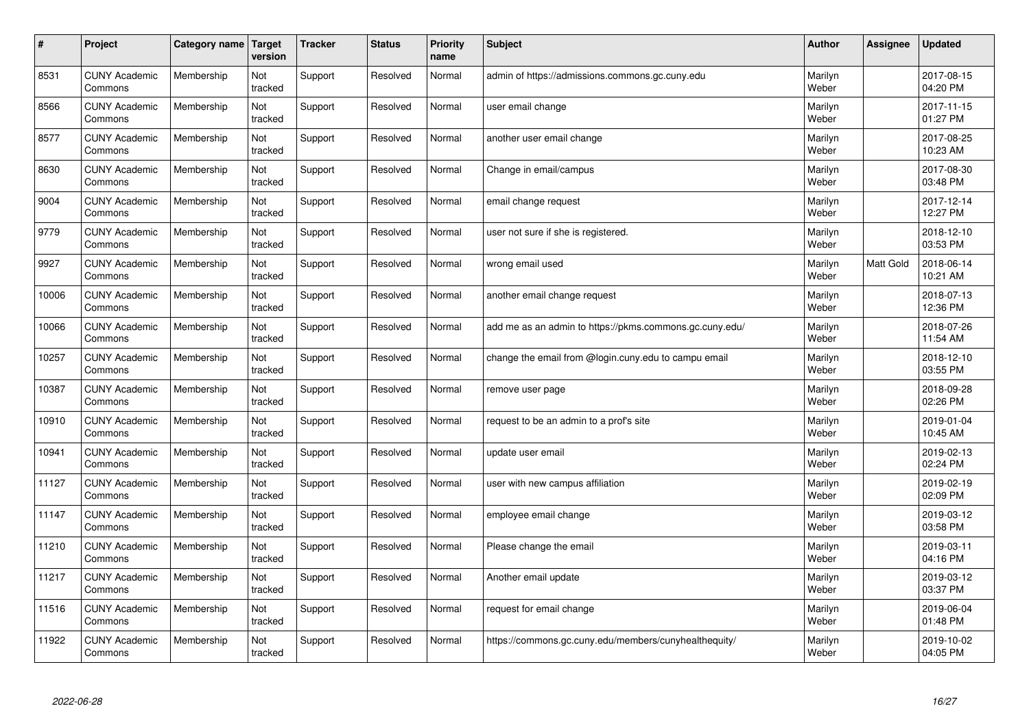| $\pmb{\#}$ | Project                         | Category name | <b>Target</b><br>version | <b>Tracker</b> | <b>Status</b> | <b>Priority</b><br>name | <b>Subject</b>                                          | <b>Author</b>    | Assignee  | <b>Updated</b>         |
|------------|---------------------------------|---------------|--------------------------|----------------|---------------|-------------------------|---------------------------------------------------------|------------------|-----------|------------------------|
| 8531       | <b>CUNY Academic</b><br>Commons | Membership    | Not<br>tracked           | Support        | Resolved      | Normal                  | admin of https://admissions.commons.gc.cuny.edu         | Marilyn<br>Weber |           | 2017-08-15<br>04:20 PM |
| 8566       | <b>CUNY Academic</b><br>Commons | Membership    | Not<br>tracked           | Support        | Resolved      | Normal                  | user email change                                       | Marilyn<br>Weber |           | 2017-11-15<br>01:27 PM |
| 8577       | <b>CUNY Academic</b><br>Commons | Membership    | Not<br>tracked           | Support        | Resolved      | Normal                  | another user email change                               | Marilyn<br>Weber |           | 2017-08-25<br>10:23 AM |
| 8630       | <b>CUNY Academic</b><br>Commons | Membership    | Not<br>tracked           | Support        | Resolved      | Normal                  | Change in email/campus                                  | Marilyn<br>Weber |           | 2017-08-30<br>03:48 PM |
| 9004       | <b>CUNY Academic</b><br>Commons | Membership    | Not<br>tracked           | Support        | Resolved      | Normal                  | email change request                                    | Marilyn<br>Weber |           | 2017-12-14<br>12:27 PM |
| 9779       | <b>CUNY Academic</b><br>Commons | Membership    | Not<br>tracked           | Support        | Resolved      | Normal                  | user not sure if she is registered.                     | Marilyn<br>Weber |           | 2018-12-10<br>03:53 PM |
| 9927       | <b>CUNY Academic</b><br>Commons | Membership    | Not<br>tracked           | Support        | Resolved      | Normal                  | wrong email used                                        | Marilyn<br>Weber | Matt Gold | 2018-06-14<br>10:21 AM |
| 10006      | <b>CUNY Academic</b><br>Commons | Membership    | Not<br>tracked           | Support        | Resolved      | Normal                  | another email change request                            | Marilyn<br>Weber |           | 2018-07-13<br>12:36 PM |
| 10066      | <b>CUNY Academic</b><br>Commons | Membership    | Not<br>tracked           | Support        | Resolved      | Normal                  | add me as an admin to https://pkms.commons.gc.cuny.edu/ | Marilyn<br>Weber |           | 2018-07-26<br>11:54 AM |
| 10257      | <b>CUNY Academic</b><br>Commons | Membership    | Not<br>tracked           | Support        | Resolved      | Normal                  | change the email from @login.cuny.edu to campu email    | Marilyn<br>Weber |           | 2018-12-10<br>03:55 PM |
| 10387      | <b>CUNY Academic</b><br>Commons | Membership    | Not<br>tracked           | Support        | Resolved      | Normal                  | remove user page                                        | Marilyn<br>Weber |           | 2018-09-28<br>02:26 PM |
| 10910      | <b>CUNY Academic</b><br>Commons | Membership    | Not<br>tracked           | Support        | Resolved      | Normal                  | request to be an admin to a prof's site                 | Marilyn<br>Weber |           | 2019-01-04<br>10:45 AM |
| 10941      | <b>CUNY Academic</b><br>Commons | Membership    | Not<br>tracked           | Support        | Resolved      | Normal                  | update user email                                       | Marilyn<br>Weber |           | 2019-02-13<br>02:24 PM |
| 11127      | <b>CUNY Academic</b><br>Commons | Membership    | Not<br>tracked           | Support        | Resolved      | Normal                  | user with new campus affiliation                        | Marilyn<br>Weber |           | 2019-02-19<br>02:09 PM |
| 11147      | <b>CUNY Academic</b><br>Commons | Membership    | Not<br>tracked           | Support        | Resolved      | Normal                  | employee email change                                   | Marilyn<br>Weber |           | 2019-03-12<br>03:58 PM |
| 11210      | <b>CUNY Academic</b><br>Commons | Membership    | Not<br>tracked           | Support        | Resolved      | Normal                  | Please change the email                                 | Marilyn<br>Weber |           | 2019-03-11<br>04:16 PM |
| 11217      | <b>CUNY Academic</b><br>Commons | Membership    | Not<br>tracked           | Support        | Resolved      | Normal                  | Another email update                                    | Marilyn<br>Weber |           | 2019-03-12<br>03:37 PM |
| 11516      | <b>CUNY Academic</b><br>Commons | Membership    | Not<br>tracked           | Support        | Resolved      | Normal                  | request for email change                                | Marilyn<br>Weber |           | 2019-06-04<br>01:48 PM |
| 11922      | <b>CUNY Academic</b><br>Commons | Membership    | Not<br>tracked           | Support        | Resolved      | Normal                  | https://commons.gc.cuny.edu/members/cunyhealthequity/   | Marilyn<br>Weber |           | 2019-10-02<br>04:05 PM |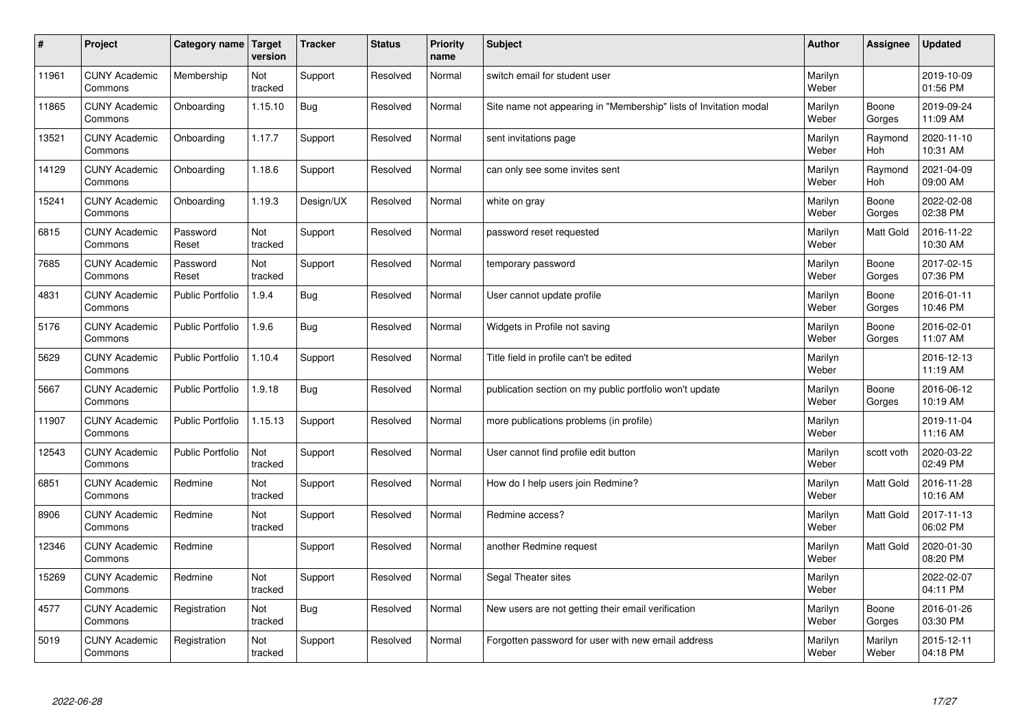| $\pmb{\#}$ | Project                         | Category name           | Target<br>version | <b>Tracker</b> | <b>Status</b> | <b>Priority</b><br>name | <b>Subject</b>                                                    | <b>Author</b>    | <b>Assignee</b>       | <b>Updated</b>         |
|------------|---------------------------------|-------------------------|-------------------|----------------|---------------|-------------------------|-------------------------------------------------------------------|------------------|-----------------------|------------------------|
| 11961      | <b>CUNY Academic</b><br>Commons | Membership              | Not<br>tracked    | Support        | Resolved      | Normal                  | switch email for student user                                     | Marilyn<br>Weber |                       | 2019-10-09<br>01:56 PM |
| 11865      | <b>CUNY Academic</b><br>Commons | Onboarding              | 1.15.10           | <b>Bug</b>     | Resolved      | Normal                  | Site name not appearing in "Membership" lists of Invitation modal | Marilyn<br>Weber | Boone<br>Gorges       | 2019-09-24<br>11:09 AM |
| 13521      | <b>CUNY Academic</b><br>Commons | Onboarding              | 1.17.7            | Support        | Resolved      | Normal                  | sent invitations page                                             | Marilyn<br>Weber | Raymond<br>Hoh        | 2020-11-10<br>10:31 AM |
| 14129      | <b>CUNY Academic</b><br>Commons | Onboarding              | 1.18.6            | Support        | Resolved      | Normal                  | can only see some invites sent                                    | Marilyn<br>Weber | Raymond<br><b>Hoh</b> | 2021-04-09<br>09:00 AM |
| 15241      | <b>CUNY Academic</b><br>Commons | Onboarding              | 1.19.3            | Design/UX      | Resolved      | Normal                  | white on gray                                                     | Marilyn<br>Weber | Boone<br>Gorges       | 2022-02-08<br>02:38 PM |
| 6815       | <b>CUNY Academic</b><br>Commons | Password<br>Reset       | Not<br>tracked    | Support        | Resolved      | Normal                  | password reset requested                                          | Marilyn<br>Weber | <b>Matt Gold</b>      | 2016-11-22<br>10:30 AM |
| 7685       | <b>CUNY Academic</b><br>Commons | Password<br>Reset       | Not<br>tracked    | Support        | Resolved      | Normal                  | temporary password                                                | Marilyn<br>Weber | Boone<br>Gorges       | 2017-02-15<br>07:36 PM |
| 4831       | <b>CUNY Academic</b><br>Commons | <b>Public Portfolio</b> | 1.9.4             | <b>Bug</b>     | Resolved      | Normal                  | User cannot update profile                                        | Marilyn<br>Weber | Boone<br>Gorges       | 2016-01-11<br>10:46 PM |
| 5176       | <b>CUNY Academic</b><br>Commons | <b>Public Portfolio</b> | 1.9.6             | Bug            | Resolved      | Normal                  | Widgets in Profile not saving                                     | Marilyn<br>Weber | Boone<br>Gorges       | 2016-02-01<br>11:07 AM |
| 5629       | <b>CUNY Academic</b><br>Commons | <b>Public Portfolio</b> | 1.10.4            | Support        | Resolved      | Normal                  | Title field in profile can't be edited                            | Marilyn<br>Weber |                       | 2016-12-13<br>11:19 AM |
| 5667       | <b>CUNY Academic</b><br>Commons | Public Portfolio        | 1.9.18            | <b>Bug</b>     | Resolved      | Normal                  | publication section on my public portfolio won't update           | Marilyn<br>Weber | Boone<br>Gorges       | 2016-06-12<br>10:19 AM |
| 11907      | <b>CUNY Academic</b><br>Commons | <b>Public Portfolio</b> | 1.15.13           | Support        | Resolved      | Normal                  | more publications problems (in profile)                           | Marilyn<br>Weber |                       | 2019-11-04<br>11:16 AM |
| 12543      | <b>CUNY Academic</b><br>Commons | <b>Public Portfolio</b> | Not<br>tracked    | Support        | Resolved      | Normal                  | User cannot find profile edit button                              | Marilyn<br>Weber | scott voth            | 2020-03-22<br>02:49 PM |
| 6851       | <b>CUNY Academic</b><br>Commons | Redmine                 | Not<br>tracked    | Support        | Resolved      | Normal                  | How do I help users join Redmine?                                 | Marilyn<br>Weber | Matt Gold             | 2016-11-28<br>10:16 AM |
| 8906       | <b>CUNY Academic</b><br>Commons | Redmine                 | Not<br>tracked    | Support        | Resolved      | Normal                  | Redmine access?                                                   | Marilyn<br>Weber | Matt Gold             | 2017-11-13<br>06:02 PM |
| 12346      | <b>CUNY Academic</b><br>Commons | Redmine                 |                   | Support        | Resolved      | Normal                  | another Redmine request                                           | Marilyn<br>Weber | <b>Matt Gold</b>      | 2020-01-30<br>08:20 PM |
| 15269      | <b>CUNY Academic</b><br>Commons | Redmine                 | Not<br>tracked    | Support        | Resolved      | Normal                  | Segal Theater sites                                               | Marilyn<br>Weber |                       | 2022-02-07<br>04:11 PM |
| 4577       | <b>CUNY Academic</b><br>Commons | Registration            | Not<br>tracked    | <b>Bug</b>     | Resolved      | Normal                  | New users are not getting their email verification                | Marilyn<br>Weber | Boone<br>Gorges       | 2016-01-26<br>03:30 PM |
| 5019       | <b>CUNY Academic</b><br>Commons | Registration            | Not<br>tracked    | Support        | Resolved      | Normal                  | Forgotten password for user with new email address                | Marilyn<br>Weber | Marilyn<br>Weber      | 2015-12-11<br>04:18 PM |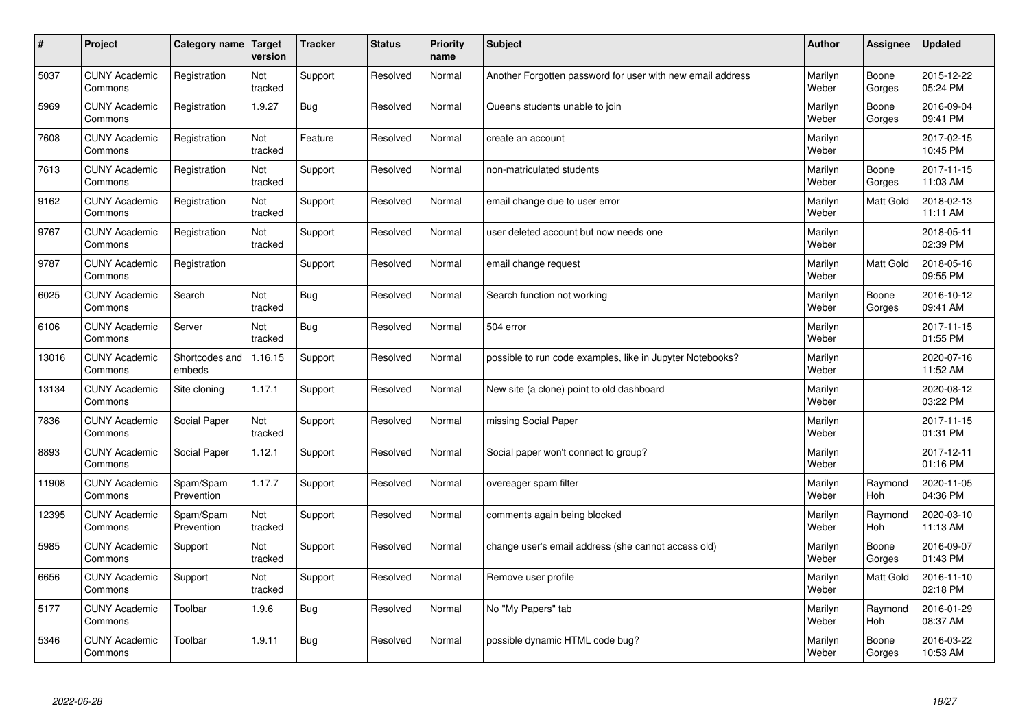| $\pmb{\#}$ | Project                         | Category name            | Target<br>version | <b>Tracker</b> | <b>Status</b> | <b>Priority</b><br>name | <b>Subject</b>                                             | <b>Author</b>    | Assignee         | <b>Updated</b>         |
|------------|---------------------------------|--------------------------|-------------------|----------------|---------------|-------------------------|------------------------------------------------------------|------------------|------------------|------------------------|
| 5037       | <b>CUNY Academic</b><br>Commons | Registration             | Not<br>tracked    | Support        | Resolved      | Normal                  | Another Forgotten password for user with new email address | Marilyn<br>Weber | Boone<br>Gorges  | 2015-12-22<br>05:24 PM |
| 5969       | <b>CUNY Academic</b><br>Commons | Registration             | 1.9.27            | Bug            | Resolved      | Normal                  | Queens students unable to join                             | Marilyn<br>Weber | Boone<br>Gorges  | 2016-09-04<br>09:41 PM |
| 7608       | <b>CUNY Academic</b><br>Commons | Registration             | Not<br>tracked    | Feature        | Resolved      | Normal                  | create an account                                          | Marilyn<br>Weber |                  | 2017-02-15<br>10:45 PM |
| 7613       | <b>CUNY Academic</b><br>Commons | Registration             | Not<br>tracked    | Support        | Resolved      | Normal                  | non-matriculated students                                  | Marilyn<br>Weber | Boone<br>Gorges  | 2017-11-15<br>11:03 AM |
| 9162       | <b>CUNY Academic</b><br>Commons | Registration             | Not<br>tracked    | Support        | Resolved      | Normal                  | email change due to user error                             | Marilyn<br>Weber | <b>Matt Gold</b> | 2018-02-13<br>11:11 AM |
| 9767       | <b>CUNY Academic</b><br>Commons | Registration             | Not<br>tracked    | Support        | Resolved      | Normal                  | user deleted account but now needs one                     | Marilyn<br>Weber |                  | 2018-05-11<br>02:39 PM |
| 9787       | <b>CUNY Academic</b><br>Commons | Registration             |                   | Support        | Resolved      | Normal                  | email change request                                       | Marilyn<br>Weber | Matt Gold        | 2018-05-16<br>09:55 PM |
| 6025       | <b>CUNY Academic</b><br>Commons | Search                   | Not<br>tracked    | <b>Bug</b>     | Resolved      | Normal                  | Search function not working                                | Marilyn<br>Weber | Boone<br>Gorges  | 2016-10-12<br>09:41 AM |
| 6106       | <b>CUNY Academic</b><br>Commons | Server                   | Not<br>tracked    | Bug            | Resolved      | Normal                  | 504 error                                                  | Marilyn<br>Weber |                  | 2017-11-15<br>01:55 PM |
| 13016      | <b>CUNY Academic</b><br>Commons | Shortcodes and<br>embeds | 1.16.15           | Support        | Resolved      | Normal                  | possible to run code examples, like in Jupyter Notebooks?  | Marilyn<br>Weber |                  | 2020-07-16<br>11:52 AM |
| 13134      | <b>CUNY Academic</b><br>Commons | Site cloning             | 1.17.1            | Support        | Resolved      | Normal                  | New site (a clone) point to old dashboard                  | Marilyn<br>Weber |                  | 2020-08-12<br>03:22 PM |
| 7836       | <b>CUNY Academic</b><br>Commons | Social Paper             | Not<br>tracked    | Support        | Resolved      | Normal                  | missing Social Paper                                       | Marilyn<br>Weber |                  | 2017-11-15<br>01:31 PM |
| 8893       | <b>CUNY Academic</b><br>Commons | Social Paper             | 1.12.1            | Support        | Resolved      | Normal                  | Social paper won't connect to group?                       | Marilyn<br>Weber |                  | 2017-12-11<br>01:16 PM |
| 11908      | <b>CUNY Academic</b><br>Commons | Spam/Spam<br>Prevention  | 1.17.7            | Support        | Resolved      | Normal                  | overeager spam filter                                      | Marilyn<br>Weber | Raymond<br>Hoh   | 2020-11-05<br>04:36 PM |
| 12395      | <b>CUNY Academic</b><br>Commons | Spam/Spam<br>Prevention  | Not<br>tracked    | Support        | Resolved      | Normal                  | comments again being blocked                               | Marilyn<br>Weber | Raymond<br>Hoh   | 2020-03-10<br>11:13 AM |
| 5985       | <b>CUNY Academic</b><br>Commons | Support                  | Not<br>tracked    | Support        | Resolved      | Normal                  | change user's email address (she cannot access old)        | Marilyn<br>Weber | Boone<br>Gorges  | 2016-09-07<br>01:43 PM |
| 6656       | <b>CUNY Academic</b><br>Commons | Support                  | Not<br>tracked    | Support        | Resolved      | Normal                  | Remove user profile                                        | Marilyn<br>Weber | <b>Matt Gold</b> | 2016-11-10<br>02:18 PM |
| 5177       | <b>CUNY Academic</b><br>Commons | Toolbar                  | 1.9.6             | <b>Bug</b>     | Resolved      | Normal                  | No "My Papers" tab                                         | Marilyn<br>Weber | Raymond<br>Hoh   | 2016-01-29<br>08:37 AM |
| 5346       | <b>CUNY Academic</b><br>Commons | Toolbar                  | 1.9.11            | <b>Bug</b>     | Resolved      | Normal                  | possible dynamic HTML code bug?                            | Marilyn<br>Weber | Boone<br>Gorges  | 2016-03-22<br>10:53 AM |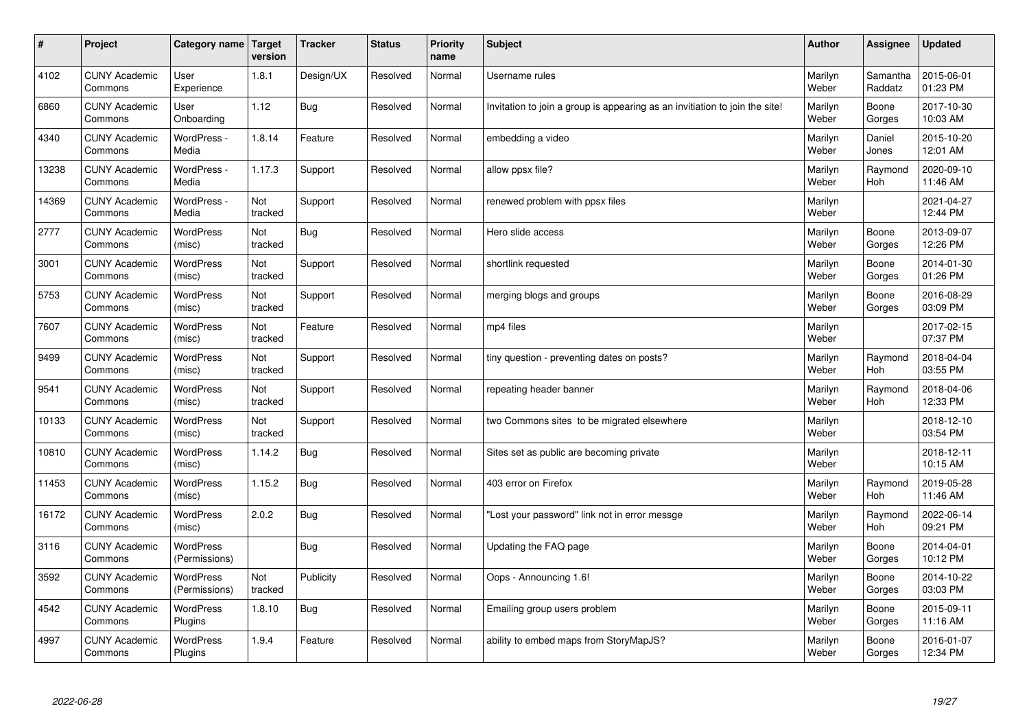| $\vert$ # | Project                         | Category name   Target      | version        | <b>Tracker</b> | <b>Status</b> | <b>Priority</b><br>name | <b>Subject</b>                                                              | <b>Author</b>    | <b>Assignee</b>       | <b>Updated</b>         |
|-----------|---------------------------------|-----------------------------|----------------|----------------|---------------|-------------------------|-----------------------------------------------------------------------------|------------------|-----------------------|------------------------|
| 4102      | <b>CUNY Academic</b><br>Commons | User<br>Experience          | 1.8.1          | Design/UX      | Resolved      | Normal                  | Username rules                                                              | Marilyn<br>Weber | Samantha<br>Raddatz   | 2015-06-01<br>01:23 PM |
| 6860      | <b>CUNY Academic</b><br>Commons | User<br>Onboarding          | 1.12           | Bug            | Resolved      | Normal                  | Invitation to join a group is appearing as an invitiation to join the site! | Marilyn<br>Weber | Boone<br>Gorges       | 2017-10-30<br>10:03 AM |
| 4340      | <b>CUNY Academic</b><br>Commons | WordPress -<br>Media        | 1.8.14         | Feature        | Resolved      | Normal                  | embedding a video                                                           | Marilyn<br>Weber | Daniel<br>Jones       | 2015-10-20<br>12:01 AM |
| 13238     | <b>CUNY Academic</b><br>Commons | WordPress -<br>Media        | 1.17.3         | Support        | Resolved      | Normal                  | allow ppsx file?                                                            | Marilyn<br>Weber | Raymond<br><b>Hoh</b> | 2020-09-10<br>11:46 AM |
| 14369     | <b>CUNY Academic</b><br>Commons | WordPress -<br>Media        | Not<br>tracked | Support        | Resolved      | Normal                  | renewed problem with ppsx files                                             | Marilyn<br>Weber |                       | 2021-04-27<br>12:44 PM |
| 2777      | <b>CUNY Academic</b><br>Commons | WordPress<br>(misc)         | Not<br>tracked | <b>Bug</b>     | Resolved      | Normal                  | Hero slide access                                                           | Marilyn<br>Weber | Boone<br>Gorges       | 2013-09-07<br>12:26 PM |
| 3001      | <b>CUNY Academic</b><br>Commons | WordPress<br>(misc)         | Not<br>tracked | Support        | Resolved      | Normal                  | shortlink requested                                                         | Marilyn<br>Weber | Boone<br>Gorges       | 2014-01-30<br>01:26 PM |
| 5753      | <b>CUNY Academic</b><br>Commons | WordPress<br>(misc)         | Not<br>tracked | Support        | Resolved      | Normal                  | merging blogs and groups                                                    | Marilyn<br>Weber | Boone<br>Gorges       | 2016-08-29<br>03:09 PM |
| 7607      | <b>CUNY Academic</b><br>Commons | WordPress<br>(misc)         | Not<br>tracked | Feature        | Resolved      | Normal                  | mp4 files                                                                   | Marilyn<br>Weber |                       | 2017-02-15<br>07:37 PM |
| 9499      | <b>CUNY Academic</b><br>Commons | WordPress<br>(misc)         | Not<br>tracked | Support        | Resolved      | Normal                  | tiny question - preventing dates on posts?                                  | Marilyn<br>Weber | Raymond<br>Hoh        | 2018-04-04<br>03:55 PM |
| 9541      | <b>CUNY Academic</b><br>Commons | WordPress<br>(misc)         | Not<br>tracked | Support        | Resolved      | Normal                  | repeating header banner                                                     | Marilyn<br>Weber | Raymond<br>Hoh        | 2018-04-06<br>12:33 PM |
| 10133     | <b>CUNY Academic</b><br>Commons | WordPress<br>(misc)         | Not<br>tracked | Support        | Resolved      | Normal                  | two Commons sites to be migrated elsewhere                                  | Marilyn<br>Weber |                       | 2018-12-10<br>03:54 PM |
| 10810     | <b>CUNY Academic</b><br>Commons | WordPress<br>(misc)         | 1.14.2         | Bug            | Resolved      | Normal                  | Sites set as public are becoming private                                    | Marilyn<br>Weber |                       | 2018-12-11<br>10:15 AM |
| 11453     | <b>CUNY Academic</b><br>Commons | WordPress<br>(misc)         | 1.15.2         | Bug            | Resolved      | Normal                  | 403 error on Firefox                                                        | Marilyn<br>Weber | Raymond<br><b>Hoh</b> | 2019-05-28<br>11:46 AM |
| 16172     | <b>CUNY Academic</b><br>Commons | <b>WordPress</b><br>(misc)  | 2.0.2          | Bug            | Resolved      | Normal                  | 'Lost your password" link not in error messge                               | Marilyn<br>Weber | Raymond<br>Hoh        | 2022-06-14<br>09:21 PM |
| 3116      | <b>CUNY Academic</b><br>Commons | WordPress<br>(Permissions)  |                | Bug            | Resolved      | Normal                  | Updating the FAQ page                                                       | Marilyn<br>Weber | Boone<br>Gorges       | 2014-04-01<br>10:12 PM |
| 3592      | <b>CUNY Academic</b><br>Commons | WordPress<br>(Permissions)  | Not<br>tracked | Publicity      | Resolved      | Normal                  | Oops - Announcing 1.6!                                                      | Marilyn<br>Weber | Boone<br>Gorges       | 2014-10-22<br>03:03 PM |
| 4542      | <b>CUNY Academic</b><br>Commons | WordPress<br>Plugins        | 1.8.10         | Bug            | Resolved      | Normal                  | Emailing group users problem                                                | Marilyn<br>Weber | Boone<br>Gorges       | 2015-09-11<br>11:16 AM |
| 4997      | <b>CUNY Academic</b><br>Commons | <b>WordPress</b><br>Plugins | 1.9.4          | Feature        | Resolved      | Normal                  | ability to embed maps from StoryMapJS?                                      | Marilyn<br>Weber | Boone<br>Gorges       | 2016-01-07<br>12:34 PM |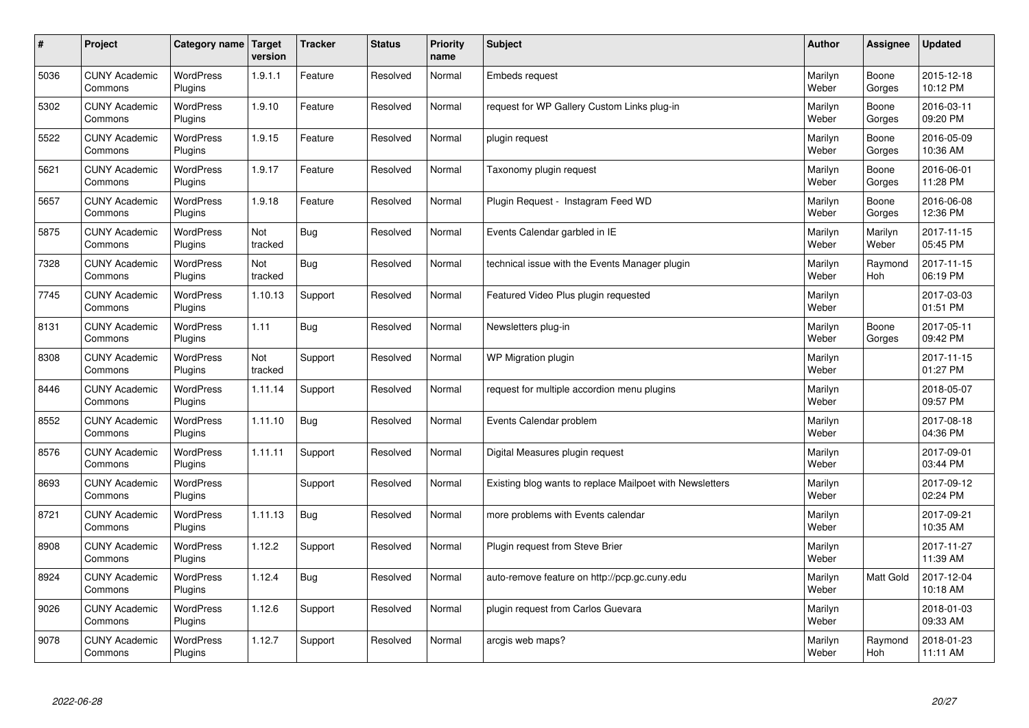| $\vert$ # | Project                         | Category name               | Target<br>version | <b>Tracker</b> | <b>Status</b> | <b>Priority</b><br>name | <b>Subject</b>                                           | <b>Author</b>    | <b>Assignee</b>  | <b>Updated</b>         |
|-----------|---------------------------------|-----------------------------|-------------------|----------------|---------------|-------------------------|----------------------------------------------------------|------------------|------------------|------------------------|
| 5036      | <b>CUNY Academic</b><br>Commons | <b>WordPress</b><br>Plugins | 1.9.1.1           | Feature        | Resolved      | Normal                  | Embeds request                                           | Marilyn<br>Weber | Boone<br>Gorges  | 2015-12-18<br>10:12 PM |
| 5302      | <b>CUNY Academic</b><br>Commons | <b>WordPress</b><br>Plugins | 1.9.10            | Feature        | Resolved      | Normal                  | request for WP Gallery Custom Links plug-in              | Marilyn<br>Weber | Boone<br>Gorges  | 2016-03-11<br>09:20 PM |
| 5522      | <b>CUNY Academic</b><br>Commons | WordPress<br>Plugins        | 1.9.15            | Feature        | Resolved      | Normal                  | plugin request                                           | Marilyn<br>Weber | Boone<br>Gorges  | 2016-05-09<br>10:36 AM |
| 5621      | <b>CUNY Academic</b><br>Commons | <b>WordPress</b><br>Plugins | 1.9.17            | Feature        | Resolved      | Normal                  | Taxonomy plugin request                                  | Marilyn<br>Weber | Boone<br>Gorges  | 2016-06-01<br>11:28 PM |
| 5657      | <b>CUNY Academic</b><br>Commons | <b>WordPress</b><br>Plugins | 1.9.18            | Feature        | Resolved      | Normal                  | Plugin Reguest - Instagram Feed WD                       | Marilyn<br>Weber | Boone<br>Gorges  | 2016-06-08<br>12:36 PM |
| 5875      | <b>CUNY Academic</b><br>Commons | WordPress<br>Plugins        | Not<br>tracked    | Bug            | Resolved      | Normal                  | Events Calendar garbled in IE                            | Marilyn<br>Weber | Marilyn<br>Weber | 2017-11-15<br>05:45 PM |
| 7328      | <b>CUNY Academic</b><br>Commons | WordPress<br>Plugins        | Not<br>tracked    | <b>Bug</b>     | Resolved      | Normal                  | technical issue with the Events Manager plugin           | Marilyn<br>Weber | Raymond<br>Hoh   | 2017-11-15<br>06:19 PM |
| 7745      | <b>CUNY Academic</b><br>Commons | WordPress<br>Plugins        | 1.10.13           | Support        | Resolved      | Normal                  | Featured Video Plus plugin requested                     | Marilyn<br>Weber |                  | 2017-03-03<br>01:51 PM |
| 8131      | <b>CUNY Academic</b><br>Commons | WordPress<br>Plugins        | 1.11              | Bug            | Resolved      | Normal                  | Newsletters plug-in                                      | Marilyn<br>Weber | Boone<br>Gorges  | 2017-05-11<br>09:42 PM |
| 8308      | <b>CUNY Academic</b><br>Commons | WordPress<br>Plugins        | Not<br>tracked    | Support        | Resolved      | Normal                  | WP Migration plugin                                      | Marilyn<br>Weber |                  | 2017-11-15<br>01:27 PM |
| 8446      | <b>CUNY Academic</b><br>Commons | WordPress<br>Plugins        | 1.11.14           | Support        | Resolved      | Normal                  | request for multiple accordion menu plugins              | Marilyn<br>Weber |                  | 2018-05-07<br>09:57 PM |
| 8552      | <b>CUNY Academic</b><br>Commons | WordPress<br>Plugins        | 1.11.10           | <b>Bug</b>     | Resolved      | Normal                  | Events Calendar problem                                  | Marilyn<br>Weber |                  | 2017-08-18<br>04:36 PM |
| 8576      | <b>CUNY Academic</b><br>Commons | WordPress<br>Plugins        | 1.11.11           | Support        | Resolved      | Normal                  | Digital Measures plugin request                          | Marilyn<br>Weber |                  | 2017-09-01<br>03:44 PM |
| 8693      | <b>CUNY Academic</b><br>Commons | WordPress<br>Plugins        |                   | Support        | Resolved      | Normal                  | Existing blog wants to replace Mailpoet with Newsletters | Marilyn<br>Weber |                  | 2017-09-12<br>02:24 PM |
| 8721      | <b>CUNY Academic</b><br>Commons | <b>WordPress</b><br>Plugins | 1.11.13           | Bug            | Resolved      | Normal                  | more problems with Events calendar                       | Marilyn<br>Weber |                  | 2017-09-21<br>10:35 AM |
| 8908      | <b>CUNY Academic</b><br>Commons | WordPress<br>Plugins        | 1.12.2            | Support        | Resolved      | Normal                  | Plugin request from Steve Brier                          | Marilyn<br>Weber |                  | 2017-11-27<br>11:39 AM |
| 8924      | <b>CUNY Academic</b><br>Commons | WordPress<br>Plugins        | 1.12.4            | Bug            | Resolved      | Normal                  | auto-remove feature on http://pcp.gc.cuny.edu            | Marilyn<br>Weber | Matt Gold        | 2017-12-04<br>10:18 AM |
| 9026      | <b>CUNY Academic</b><br>Commons | WordPress<br>Plugins        | 1.12.6            | Support        | Resolved      | Normal                  | plugin request from Carlos Guevara                       | Marilyn<br>Weber |                  | 2018-01-03<br>09:33 AM |
| 9078      | <b>CUNY Academic</b><br>Commons | <b>WordPress</b><br>Plugins | 1.12.7            | Support        | Resolved      | Normal                  | arcgis web maps?                                         | Marilyn<br>Weber | Raymond<br>Hoh   | 2018-01-23<br>11:11 AM |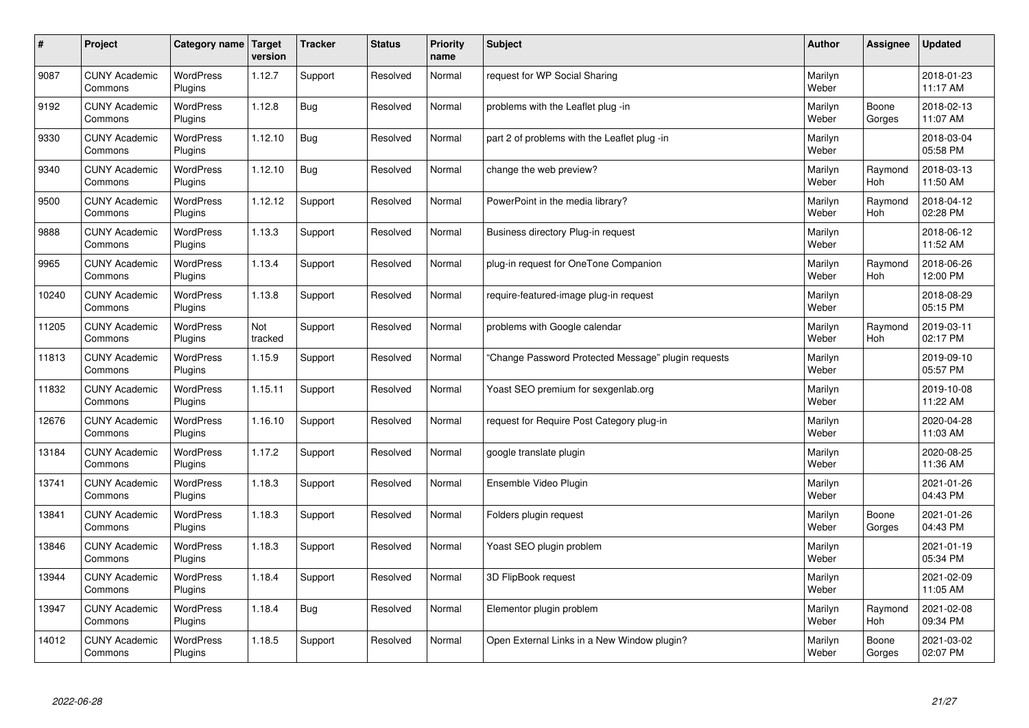| #     | Project                         | Category name               | Target<br>version | <b>Tracker</b> | <b>Status</b> | <b>Priority</b><br>name | <b>Subject</b>                                      | <b>Author</b>    | Assignee              | <b>Updated</b>         |
|-------|---------------------------------|-----------------------------|-------------------|----------------|---------------|-------------------------|-----------------------------------------------------|------------------|-----------------------|------------------------|
| 9087  | <b>CUNY Academic</b><br>Commons | <b>WordPress</b><br>Plugins | 1.12.7            | Support        | Resolved      | Normal                  | request for WP Social Sharing                       | Marilyn<br>Weber |                       | 2018-01-23<br>11:17 AM |
| 9192  | <b>CUNY Academic</b><br>Commons | <b>WordPress</b><br>Plugins | 1.12.8            | Bug            | Resolved      | Normal                  | problems with the Leaflet plug -in                  | Marilyn<br>Weber | Boone<br>Gorges       | 2018-02-13<br>11:07 AM |
| 9330  | <b>CUNY Academic</b><br>Commons | <b>WordPress</b><br>Plugins | 1.12.10           | Bug            | Resolved      | Normal                  | part 2 of problems with the Leaflet plug -in        | Marilyn<br>Weber |                       | 2018-03-04<br>05:58 PM |
| 9340  | <b>CUNY Academic</b><br>Commons | <b>WordPress</b><br>Plugins | 1.12.10           | Bug            | Resolved      | Normal                  | change the web preview?                             | Marilyn<br>Weber | Raymond<br>Hoh        | 2018-03-13<br>11:50 AM |
| 9500  | <b>CUNY Academic</b><br>Commons | <b>WordPress</b><br>Plugins | 1.12.12           | Support        | Resolved      | Normal                  | PowerPoint in the media library?                    | Marilyn<br>Weber | Raymond<br>Hoh        | 2018-04-12<br>02:28 PM |
| 9888  | <b>CUNY Academic</b><br>Commons | WordPress<br>Plugins        | 1.13.3            | Support        | Resolved      | Normal                  | Business directory Plug-in request                  | Marilyn<br>Weber |                       | 2018-06-12<br>11:52 AM |
| 9965  | <b>CUNY Academic</b><br>Commons | <b>WordPress</b><br>Plugins | 1.13.4            | Support        | Resolved      | Normal                  | plug-in request for OneTone Companion               | Marilyn<br>Weber | Raymond<br>Hoh        | 2018-06-26<br>12:00 PM |
| 10240 | <b>CUNY Academic</b><br>Commons | <b>WordPress</b><br>Plugins | 1.13.8            | Support        | Resolved      | Normal                  | require-featured-image plug-in request              | Marilyn<br>Weber |                       | 2018-08-29<br>05:15 PM |
| 11205 | <b>CUNY Academic</b><br>Commons | <b>WordPress</b><br>Plugins | Not<br>tracked    | Support        | Resolved      | Normal                  | problems with Google calendar                       | Marilyn<br>Weber | Raymond<br><b>Hoh</b> | 2019-03-11<br>02:17 PM |
| 11813 | <b>CUNY Academic</b><br>Commons | WordPress<br>Plugins        | 1.15.9            | Support        | Resolved      | Normal                  | 'Change Password Protected Message" plugin requests | Marilyn<br>Weber |                       | 2019-09-10<br>05:57 PM |
| 11832 | <b>CUNY Academic</b><br>Commons | WordPress<br>Plugins        | 1.15.11           | Support        | Resolved      | Normal                  | Yoast SEO premium for sexgenlab.org                 | Marilyn<br>Weber |                       | 2019-10-08<br>11:22 AM |
| 12676 | <b>CUNY Academic</b><br>Commons | WordPress<br>Plugins        | 1.16.10           | Support        | Resolved      | Normal                  | request for Require Post Category plug-in           | Marilyn<br>Weber |                       | 2020-04-28<br>11:03 AM |
| 13184 | <b>CUNY Academic</b><br>Commons | <b>WordPress</b><br>Plugins | 1.17.2            | Support        | Resolved      | Normal                  | google translate plugin                             | Marilyn<br>Weber |                       | 2020-08-25<br>11:36 AM |
| 13741 | <b>CUNY Academic</b><br>Commons | <b>WordPress</b><br>Plugins | 1.18.3            | Support        | Resolved      | Normal                  | Ensemble Video Plugin                               | Marilyn<br>Weber |                       | 2021-01-26<br>04:43 PM |
| 13841 | <b>CUNY Academic</b><br>Commons | <b>WordPress</b><br>Plugins | 1.18.3            | Support        | Resolved      | Normal                  | Folders plugin request                              | Marilyn<br>Weber | Boone<br>Gorges       | 2021-01-26<br>04:43 PM |
| 13846 | <b>CUNY Academic</b><br>Commons | <b>WordPress</b><br>Plugins | 1.18.3            | Support        | Resolved      | Normal                  | Yoast SEO plugin problem                            | Marilyn<br>Weber |                       | 2021-01-19<br>05:34 PM |
| 13944 | <b>CUNY Academic</b><br>Commons | WordPress<br>Plugins        | 1.18.4            | Support        | Resolved      | Normal                  | 3D FlipBook request                                 | Marilyn<br>Weber |                       | 2021-02-09<br>11:05 AM |
| 13947 | <b>CUNY Academic</b><br>Commons | <b>WordPress</b><br>Plugins | 1.18.4            | Bug            | Resolved      | Normal                  | Elementor plugin problem                            | Marilyn<br>Weber | Raymond<br>Hoh        | 2021-02-08<br>09:34 PM |
| 14012 | <b>CUNY Academic</b><br>Commons | WordPress<br>Plugins        | 1.18.5            | Support        | Resolved      | Normal                  | Open External Links in a New Window plugin?         | Marilyn<br>Weber | Boone<br>Gorges       | 2021-03-02<br>02:07 PM |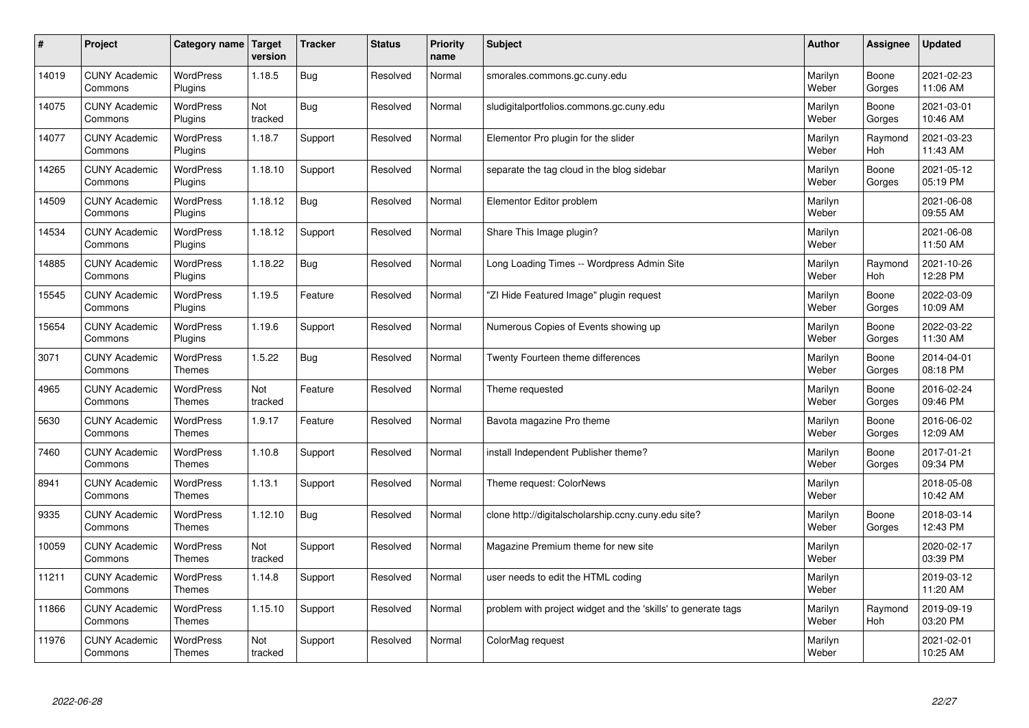| $\sharp$ | Project                         | Category name                     | Target<br>version | <b>Tracker</b> | <b>Status</b> | <b>Priority</b><br>name | <b>Subject</b>                                                | <b>Author</b>    | Assignee        | <b>Updated</b>         |
|----------|---------------------------------|-----------------------------------|-------------------|----------------|---------------|-------------------------|---------------------------------------------------------------|------------------|-----------------|------------------------|
| 14019    | <b>CUNY Academic</b><br>Commons | <b>WordPress</b><br>Plugins       | 1.18.5            | Bug            | Resolved      | Normal                  | smorales.commons.gc.cuny.edu                                  | Marilyn<br>Weber | Boone<br>Gorges | 2021-02-23<br>11:06 AM |
| 14075    | <b>CUNY Academic</b><br>Commons | <b>WordPress</b><br>Plugins       | Not<br>tracked    | Bug            | Resolved      | Normal                  | sludigitalportfolios.commons.gc.cuny.edu                      | Marilyn<br>Weber | Boone<br>Gorges | 2021-03-01<br>10:46 AM |
| 14077    | <b>CUNY Academic</b><br>Commons | <b>WordPress</b><br>Plugins       | 1.18.7            | Support        | Resolved      | Normal                  | Elementor Pro plugin for the slider                           | Marilyn<br>Weber | Raymond<br>Hoh  | 2021-03-23<br>11:43 AM |
| 14265    | <b>CUNY Academic</b><br>Commons | <b>WordPress</b><br>Plugins       | 1.18.10           | Support        | Resolved      | Normal                  | separate the tag cloud in the blog sidebar                    | Marilyn<br>Weber | Boone<br>Gorges | 2021-05-12<br>05:19 PM |
| 14509    | <b>CUNY Academic</b><br>Commons | <b>WordPress</b><br>Plugins       | 1.18.12           | Bug            | Resolved      | Normal                  | Elementor Editor problem                                      | Marilyn<br>Weber |                 | 2021-06-08<br>09:55 AM |
| 14534    | <b>CUNY Academic</b><br>Commons | WordPress<br>Plugins              | 1.18.12           | Support        | Resolved      | Normal                  | Share This Image plugin?                                      | Marilyn<br>Weber |                 | 2021-06-08<br>11:50 AM |
| 14885    | <b>CUNY Academic</b><br>Commons | <b>WordPress</b><br>Plugins       | 1.18.22           | Bug            | Resolved      | Normal                  | Long Loading Times -- Wordpress Admin Site                    | Marilyn<br>Weber | Raymond<br>Hoh  | 2021-10-26<br>12:28 PM |
| 15545    | <b>CUNY Academic</b><br>Commons | WordPress<br>Plugins              | 1.19.5            | Feature        | Resolved      | Normal                  | 'ZI Hide Featured Image" plugin request                       | Marilyn<br>Weber | Boone<br>Gorges | 2022-03-09<br>10:09 AM |
| 15654    | <b>CUNY Academic</b><br>Commons | <b>WordPress</b><br>Plugins       | 1.19.6            | Support        | Resolved      | Normal                  | Numerous Copies of Events showing up                          | Marilyn<br>Weber | Boone<br>Gorges | 2022-03-22<br>11:30 AM |
| 3071     | <b>CUNY Academic</b><br>Commons | <b>WordPress</b><br><b>Themes</b> | 1.5.22            | <b>Bug</b>     | Resolved      | Normal                  | Twenty Fourteen theme differences                             | Marilyn<br>Weber | Boone<br>Gorges | 2014-04-01<br>08:18 PM |
| 4965     | <b>CUNY Academic</b><br>Commons | <b>WordPress</b><br><b>Themes</b> | Not<br>tracked    | Feature        | Resolved      | Normal                  | Theme requested                                               | Marilyn<br>Weber | Boone<br>Gorges | 2016-02-24<br>09:46 PM |
| 5630     | <b>CUNY Academic</b><br>Commons | <b>WordPress</b><br><b>Themes</b> | 1.9.17            | Feature        | Resolved      | Normal                  | Bavota magazine Pro theme                                     | Marilyn<br>Weber | Boone<br>Gorges | 2016-06-02<br>12:09 AM |
| 7460     | <b>CUNY Academic</b><br>Commons | WordPress<br><b>Themes</b>        | 1.10.8            | Support        | Resolved      | Normal                  | install Independent Publisher theme?                          | Marilyn<br>Weber | Boone<br>Gorges | 2017-01-21<br>09:34 PM |
| 8941     | <b>CUNY Academic</b><br>Commons | WordPress<br><b>Themes</b>        | 1.13.1            | Support        | Resolved      | Normal                  | Theme request: ColorNews                                      | Marilyn<br>Weber |                 | 2018-05-08<br>10:42 AM |
| 9335     | <b>CUNY Academic</b><br>Commons | WordPress<br><b>Themes</b>        | 1.12.10           | Bug            | Resolved      | Normal                  | clone http://digitalscholarship.ccny.cuny.edu site?           | Marilyn<br>Weber | Boone<br>Gorges | 2018-03-14<br>12:43 PM |
| 10059    | <b>CUNY Academic</b><br>Commons | WordPress<br><b>Themes</b>        | Not<br>tracked    | Support        | Resolved      | Normal                  | Magazine Premium theme for new site                           | Marilyn<br>Weber |                 | 2020-02-17<br>03:39 PM |
| 11211    | <b>CUNY Academic</b><br>Commons | <b>WordPress</b><br><b>Themes</b> | 1.14.8            | Support        | Resolved      | Normal                  | user needs to edit the HTML coding                            | Marilyn<br>Weber |                 | 2019-03-12<br>11:20 AM |
| 11866    | <b>CUNY Academic</b><br>Commons | WordPress<br><b>Themes</b>        | 1.15.10           | Support        | Resolved      | Normal                  | problem with project widget and the 'skills' to generate tags | Marilyn<br>Weber | Raymond<br>Hoh  | 2019-09-19<br>03:20 PM |
| 11976    | <b>CUNY Academic</b><br>Commons | WordPress<br><b>Themes</b>        | Not<br>tracked    | Support        | Resolved      | Normal                  | ColorMag request                                              | Marilyn<br>Weber |                 | 2021-02-01<br>10:25 AM |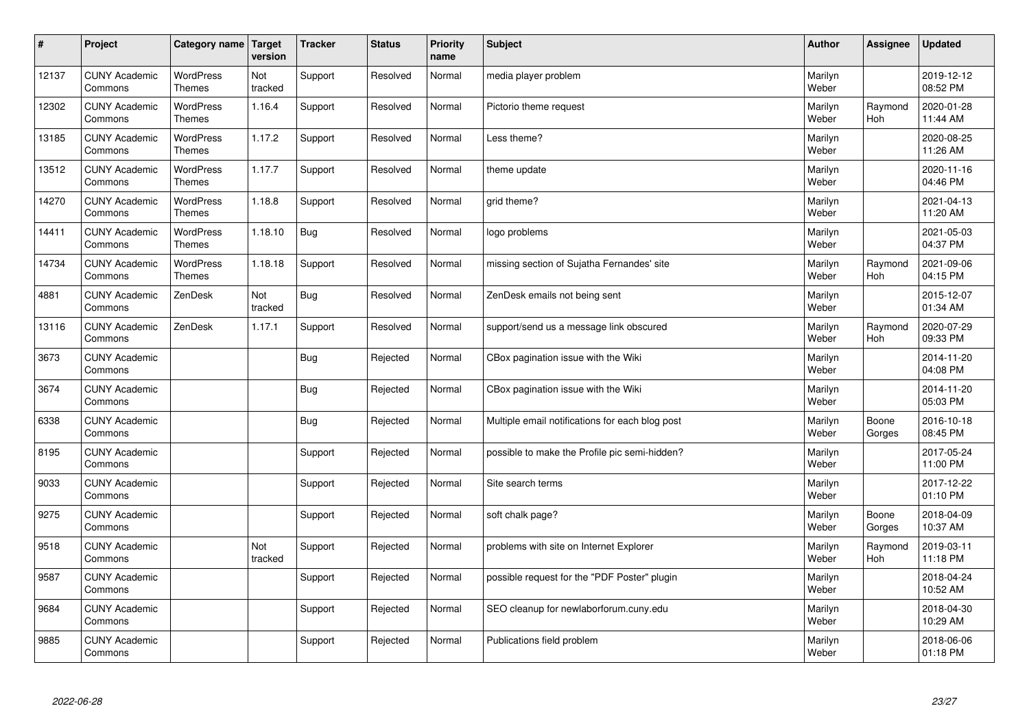| $\sharp$ | Project                         | Category name   Target            | version        | <b>Tracker</b> | <b>Status</b> | <b>Priority</b><br>name | <b>Subject</b>                                  | <b>Author</b>    | <b>Assignee</b> | <b>Updated</b>         |
|----------|---------------------------------|-----------------------------------|----------------|----------------|---------------|-------------------------|-------------------------------------------------|------------------|-----------------|------------------------|
| 12137    | <b>CUNY Academic</b><br>Commons | <b>WordPress</b><br>Themes        | Not<br>tracked | Support        | Resolved      | Normal                  | media player problem                            | Marilyn<br>Weber |                 | 2019-12-12<br>08:52 PM |
| 12302    | <b>CUNY Academic</b><br>Commons | WordPress<br><b>Themes</b>        | 1.16.4         | Support        | Resolved      | Normal                  | Pictorio theme request                          | Marilyn<br>Weber | Raymond<br>Hoh  | 2020-01-28<br>11:44 AM |
| 13185    | <b>CUNY Academic</b><br>Commons | <b>WordPress</b><br><b>Themes</b> | 1.17.2         | Support        | Resolved      | Normal                  | Less theme?                                     | Marilyn<br>Weber |                 | 2020-08-25<br>11:26 AM |
| 13512    | <b>CUNY Academic</b><br>Commons | <b>WordPress</b><br><b>Themes</b> | 1.17.7         | Support        | Resolved      | Normal                  | theme update                                    | Marilyn<br>Weber |                 | 2020-11-16<br>04:46 PM |
| 14270    | <b>CUNY Academic</b><br>Commons | <b>WordPress</b><br><b>Themes</b> | 1.18.8         | Support        | Resolved      | Normal                  | grid theme?                                     | Marilyn<br>Weber |                 | 2021-04-13<br>11:20 AM |
| 14411    | <b>CUNY Academic</b><br>Commons | WordPress<br><b>Themes</b>        | 1.18.10        | Bug            | Resolved      | Normal                  | logo problems                                   | Marilyn<br>Weber |                 | 2021-05-03<br>04:37 PM |
| 14734    | <b>CUNY Academic</b><br>Commons | <b>WordPress</b><br><b>Themes</b> | 1.18.18        | Support        | Resolved      | Normal                  | missing section of Sujatha Fernandes' site      | Marilyn<br>Weber | Raymond<br>Hoh  | 2021-09-06<br>04:15 PM |
| 4881     | <b>CUNY Academic</b><br>Commons | ZenDesk                           | Not<br>tracked | Bug            | Resolved      | Normal                  | ZenDesk emails not being sent                   | Marilyn<br>Weber |                 | 2015-12-07<br>01:34 AM |
| 13116    | <b>CUNY Academic</b><br>Commons | ZenDesk                           | 1.17.1         | Support        | Resolved      | Normal                  | support/send us a message link obscured         | Marilyn<br>Weber | Raymond<br>Hoh  | 2020-07-29<br>09:33 PM |
| 3673     | <b>CUNY Academic</b><br>Commons |                                   |                | Bug            | Rejected      | Normal                  | CBox pagination issue with the Wiki             | Marilyn<br>Weber |                 | 2014-11-20<br>04:08 PM |
| 3674     | <b>CUNY Academic</b><br>Commons |                                   |                | Bug            | Rejected      | Normal                  | CBox pagination issue with the Wiki             | Marilyn<br>Weber |                 | 2014-11-20<br>05:03 PM |
| 6338     | <b>CUNY Academic</b><br>Commons |                                   |                | <b>Bug</b>     | Rejected      | Normal                  | Multiple email notifications for each blog post | Marilyn<br>Weber | Boone<br>Gorges | 2016-10-18<br>08:45 PM |
| 8195     | <b>CUNY Academic</b><br>Commons |                                   |                | Support        | Rejected      | Normal                  | possible to make the Profile pic semi-hidden?   | Marilyn<br>Weber |                 | 2017-05-24<br>11:00 PM |
| 9033     | <b>CUNY Academic</b><br>Commons |                                   |                | Support        | Rejected      | Normal                  | Site search terms                               | Marilyn<br>Weber |                 | 2017-12-22<br>01:10 PM |
| 9275     | <b>CUNY Academic</b><br>Commons |                                   |                | Support        | Rejected      | Normal                  | soft chalk page?                                | Marilyn<br>Weber | Boone<br>Gorges | 2018-04-09<br>10:37 AM |
| 9518     | <b>CUNY Academic</b><br>Commons |                                   | Not<br>tracked | Support        | Rejected      | Normal                  | problems with site on Internet Explorer         | Marilyn<br>Weber | Raymond<br>Hoh  | 2019-03-11<br>11:18 PM |
| 9587     | <b>CUNY Academic</b><br>Commons |                                   |                | Support        | Rejected      | Normal                  | possible request for the "PDF Poster" plugin    | Marilyn<br>Weber |                 | 2018-04-24<br>10:52 AM |
| 9684     | <b>CUNY Academic</b><br>Commons |                                   |                | Support        | Rejected      | Normal                  | SEO cleanup for newlaborforum.cuny.edu          | Marilyn<br>Weber |                 | 2018-04-30<br>10:29 AM |
| 9885     | <b>CUNY Academic</b><br>Commons |                                   |                | Support        | Rejected      | Normal                  | Publications field problem                      | Marilyn<br>Weber |                 | 2018-06-06<br>01:18 PM |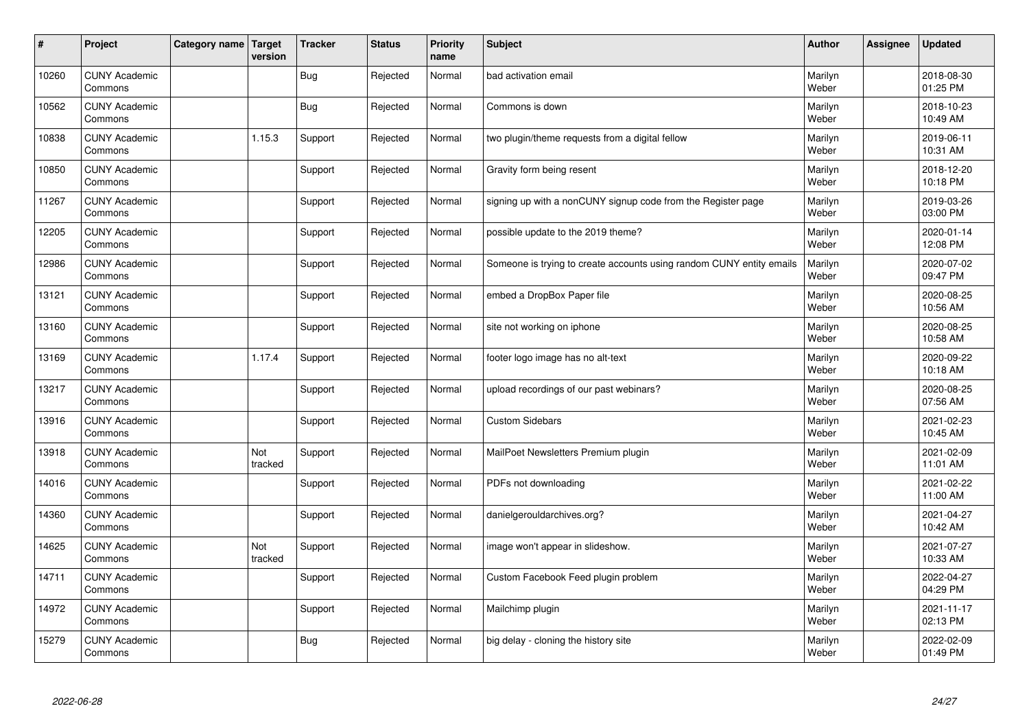| #     | Project                         | Category name   Target | version        | <b>Tracker</b> | <b>Status</b> | <b>Priority</b><br>name | <b>Subject</b>                                                       | <b>Author</b>    | <b>Assignee</b> | <b>Updated</b>         |
|-------|---------------------------------|------------------------|----------------|----------------|---------------|-------------------------|----------------------------------------------------------------------|------------------|-----------------|------------------------|
| 10260 | <b>CUNY Academic</b><br>Commons |                        |                | Bug            | Rejected      | Normal                  | bad activation email                                                 | Marilyn<br>Weber |                 | 2018-08-30<br>01:25 PM |
| 10562 | <b>CUNY Academic</b><br>Commons |                        |                | Bug            | Rejected      | Normal                  | Commons is down                                                      | Marilyn<br>Weber |                 | 2018-10-23<br>10:49 AM |
| 10838 | <b>CUNY Academic</b><br>Commons |                        | 1.15.3         | Support        | Rejected      | Normal                  | two plugin/theme requests from a digital fellow                      | Marilyn<br>Weber |                 | 2019-06-11<br>10:31 AM |
| 10850 | <b>CUNY Academic</b><br>Commons |                        |                | Support        | Rejected      | Normal                  | Gravity form being resent                                            | Marilyn<br>Weber |                 | 2018-12-20<br>10:18 PM |
| 11267 | <b>CUNY Academic</b><br>Commons |                        |                | Support        | Rejected      | Normal                  | signing up with a nonCUNY signup code from the Register page         | Marilyn<br>Weber |                 | 2019-03-26<br>03:00 PM |
| 12205 | <b>CUNY Academic</b><br>Commons |                        |                | Support        | Rejected      | Normal                  | possible update to the 2019 theme?                                   | Marilyn<br>Weber |                 | 2020-01-14<br>12:08 PM |
| 12986 | <b>CUNY Academic</b><br>Commons |                        |                | Support        | Rejected      | Normal                  | Someone is trying to create accounts using random CUNY entity emails | Marilyn<br>Weber |                 | 2020-07-02<br>09:47 PM |
| 13121 | <b>CUNY Academic</b><br>Commons |                        |                | Support        | Rejected      | Normal                  | embed a DropBox Paper file                                           | Marilyn<br>Weber |                 | 2020-08-25<br>10:56 AM |
| 13160 | <b>CUNY Academic</b><br>Commons |                        |                | Support        | Rejected      | Normal                  | site not working on iphone                                           | Marilyn<br>Weber |                 | 2020-08-25<br>10:58 AM |
| 13169 | <b>CUNY Academic</b><br>Commons |                        | 1.17.4         | Support        | Rejected      | Normal                  | footer logo image has no alt-text                                    | Marilyn<br>Weber |                 | 2020-09-22<br>10:18 AM |
| 13217 | <b>CUNY Academic</b><br>Commons |                        |                | Support        | Rejected      | Normal                  | upload recordings of our past webinars?                              | Marilyn<br>Weber |                 | 2020-08-25<br>07:56 AM |
| 13916 | <b>CUNY Academic</b><br>Commons |                        |                | Support        | Rejected      | Normal                  | <b>Custom Sidebars</b>                                               | Marilyn<br>Weber |                 | 2021-02-23<br>10:45 AM |
| 13918 | <b>CUNY Academic</b><br>Commons |                        | Not<br>tracked | Support        | Rejected      | Normal                  | MailPoet Newsletters Premium plugin                                  | Marilyn<br>Weber |                 | 2021-02-09<br>11:01 AM |
| 14016 | <b>CUNY Academic</b><br>Commons |                        |                | Support        | Rejected      | Normal                  | PDFs not downloading                                                 | Marilyn<br>Weber |                 | 2021-02-22<br>11:00 AM |
| 14360 | <b>CUNY Academic</b><br>Commons |                        |                | Support        | Rejected      | Normal                  | danielgerouldarchives.org?                                           | Marilyn<br>Weber |                 | 2021-04-27<br>10:42 AM |
| 14625 | <b>CUNY Academic</b><br>Commons |                        | Not<br>tracked | Support        | Rejected      | Normal                  | image won't appear in slideshow.                                     | Marilyn<br>Weber |                 | 2021-07-27<br>10:33 AM |
| 14711 | <b>CUNY Academic</b><br>Commons |                        |                | Support        | Rejected      | Normal                  | Custom Facebook Feed plugin problem                                  | Marilyn<br>Weber |                 | 2022-04-27<br>04:29 PM |
| 14972 | <b>CUNY Academic</b><br>Commons |                        |                | Support        | Rejected      | Normal                  | Mailchimp plugin                                                     | Marilyn<br>Weber |                 | 2021-11-17<br>02:13 PM |
| 15279 | <b>CUNY Academic</b><br>Commons |                        |                | <b>Bug</b>     | Rejected      | Normal                  | big delay - cloning the history site                                 | Marilyn<br>Weber |                 | 2022-02-09<br>01:49 PM |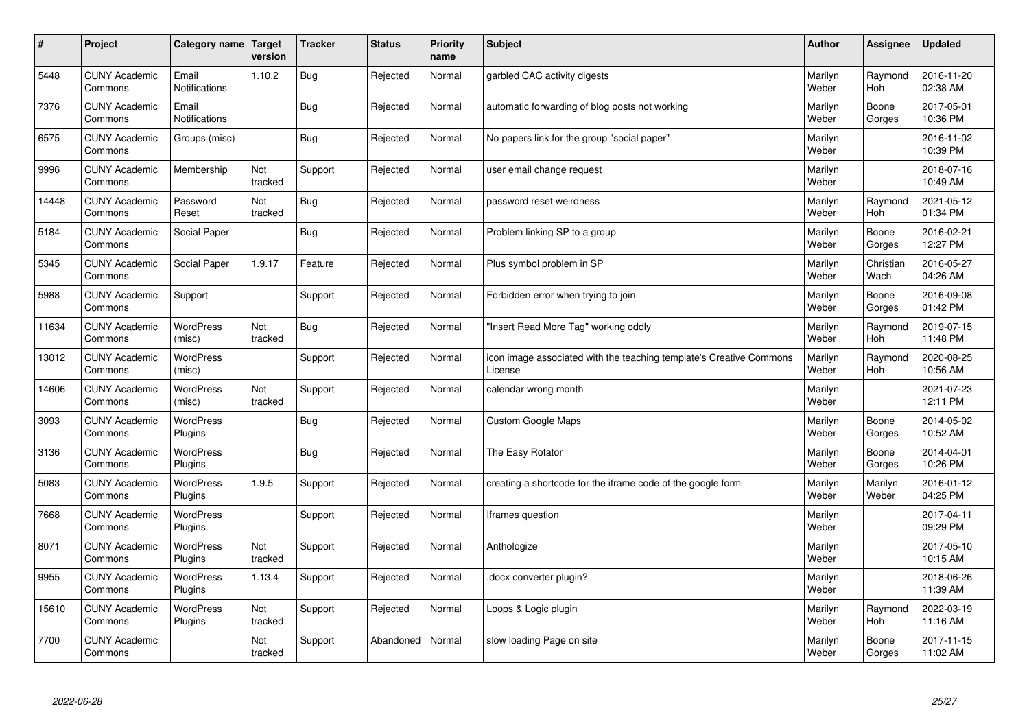| $\sharp$ | Project                         | Category name   Target        | version        | <b>Tracker</b> | <b>Status</b> | <b>Priority</b><br>name | <b>Subject</b>                                                                 | <b>Author</b>    | Assignee          | <b>Updated</b>         |
|----------|---------------------------------|-------------------------------|----------------|----------------|---------------|-------------------------|--------------------------------------------------------------------------------|------------------|-------------------|------------------------|
| 5448     | <b>CUNY Academic</b><br>Commons | Email<br><b>Notifications</b> | 1.10.2         | Bug            | Rejected      | Normal                  | garbled CAC activity digests                                                   | Marilyn<br>Weber | Raymond<br>Hoh    | 2016-11-20<br>02:38 AM |
| 7376     | <b>CUNY Academic</b><br>Commons | Email<br><b>Notifications</b> |                | Bug            | Rejected      | Normal                  | automatic forwarding of blog posts not working                                 | Marilyn<br>Weber | Boone<br>Gorges   | 2017-05-01<br>10:36 PM |
| 6575     | <b>CUNY Academic</b><br>Commons | Groups (misc)                 |                | Bug            | Rejected      | Normal                  | No papers link for the group "social paper"                                    | Marilyn<br>Weber |                   | 2016-11-02<br>10:39 PM |
| 9996     | <b>CUNY Academic</b><br>Commons | Membership                    | Not<br>tracked | Support        | Rejected      | Normal                  | user email change request                                                      | Marilyn<br>Weber |                   | 2018-07-16<br>10:49 AM |
| 14448    | <b>CUNY Academic</b><br>Commons | Password<br>Reset             | Not<br>tracked | Bug            | Rejected      | Normal                  | password reset weirdness                                                       | Marilyn<br>Weber | Raymond<br>Hoh    | 2021-05-12<br>01:34 PM |
| 5184     | <b>CUNY Academic</b><br>Commons | Social Paper                  |                | Bug            | Rejected      | Normal                  | Problem linking SP to a group                                                  | Marilyn<br>Weber | Boone<br>Gorges   | 2016-02-21<br>12:27 PM |
| 5345     | <b>CUNY Academic</b><br>Commons | Social Paper                  | 1.9.17         | Feature        | Rejected      | Normal                  | Plus symbol problem in SP                                                      | Marilyn<br>Weber | Christian<br>Wach | 2016-05-27<br>04:26 AM |
| 5988     | <b>CUNY Academic</b><br>Commons | Support                       |                | Support        | Rejected      | Normal                  | Forbidden error when trying to join                                            | Marilyn<br>Weber | Boone<br>Gorges   | 2016-09-08<br>01:42 PM |
| 11634    | <b>CUNY Academic</b><br>Commons | WordPress<br>(misc)           | Not<br>tracked | Bug            | Rejected      | Normal                  | "Insert Read More Tag" working oddly                                           | Marilyn<br>Weber | Raymond<br>Hoh    | 2019-07-15<br>11:48 PM |
| 13012    | <b>CUNY Academic</b><br>Commons | <b>WordPress</b><br>(misc)    |                | Support        | Rejected      | Normal                  | icon image associated with the teaching template's Creative Commons<br>License | Marilyn<br>Weber | Raymond<br>Hoh    | 2020-08-25<br>10:56 AM |
| 14606    | <b>CUNY Academic</b><br>Commons | <b>WordPress</b><br>(misc)    | Not<br>tracked | Support        | Rejected      | Normal                  | calendar wrong month                                                           | Marilyn<br>Weber |                   | 2021-07-23<br>12:11 PM |
| 3093     | <b>CUNY Academic</b><br>Commons | <b>WordPress</b><br>Plugins   |                | <b>Bug</b>     | Rejected      | Normal                  | <b>Custom Google Maps</b>                                                      | Marilyn<br>Weber | Boone<br>Gorges   | 2014-05-02<br>10:52 AM |
| 3136     | <b>CUNY Academic</b><br>Commons | WordPress<br>Plugins          |                | Bug            | Rejected      | Normal                  | The Easy Rotator                                                               | Marilyn<br>Weber | Boone<br>Gorges   | 2014-04-01<br>10:26 PM |
| 5083     | <b>CUNY Academic</b><br>Commons | <b>WordPress</b><br>Plugins   | 1.9.5          | Support        | Rejected      | Normal                  | creating a shortcode for the iframe code of the google form                    | Marilyn<br>Weber | Marilyn<br>Weber  | 2016-01-12<br>04:25 PM |
| 7668     | <b>CUNY Academic</b><br>Commons | WordPress<br>Plugins          |                | Support        | Rejected      | Normal                  | Iframes question                                                               | Marilyn<br>Weber |                   | 2017-04-11<br>09:29 PM |
| 8071     | <b>CUNY Academic</b><br>Commons | WordPress<br>Plugins          | Not<br>tracked | Support        | Rejected      | Normal                  | Anthologize                                                                    | Marilyn<br>Weber |                   | 2017-05-10<br>10:15 AM |
| 9955     | <b>CUNY Academic</b><br>Commons | <b>WordPress</b><br>Plugins   | 1.13.4         | Support        | Rejected      | Normal                  | docx converter plugin?                                                         | Marilyn<br>Weber |                   | 2018-06-26<br>11:39 AM |
| 15610    | <b>CUNY Academic</b><br>Commons | <b>WordPress</b><br>Plugins   | Not<br>tracked | Support        | Rejected      | Normal                  | Loops & Logic plugin                                                           | Marilyn<br>Weber | Raymond<br>Hoh    | 2022-03-19<br>11:16 AM |
| 7700     | <b>CUNY Academic</b><br>Commons |                               | Not<br>tracked | Support        | Abandoned     | Normal                  | slow loading Page on site                                                      | Marilyn<br>Weber | Boone<br>Gorges   | 2017-11-15<br>11:02 AM |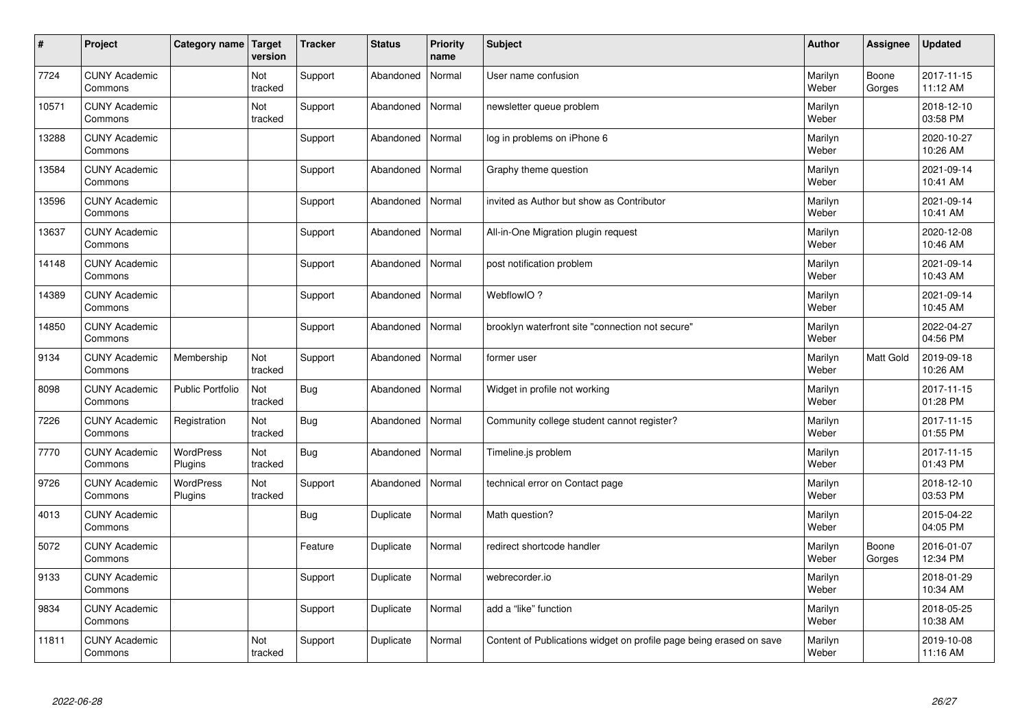| $\vert$ # | Project                         | Category name   Target      | version        | <b>Tracker</b> | <b>Status</b> | <b>Priority</b><br>name | <b>Subject</b>                                                      | <b>Author</b>    | Assignee        | <b>Updated</b>         |
|-----------|---------------------------------|-----------------------------|----------------|----------------|---------------|-------------------------|---------------------------------------------------------------------|------------------|-----------------|------------------------|
| 7724      | <b>CUNY Academic</b><br>Commons |                             | Not<br>tracked | Support        | Abandoned     | Normal                  | User name confusion                                                 | Marilyn<br>Weber | Boone<br>Gorges | 2017-11-15<br>11:12 AM |
| 10571     | <b>CUNY Academic</b><br>Commons |                             | Not<br>tracked | Support        | Abandoned     | Normal                  | newsletter queue problem                                            | Marilyn<br>Weber |                 | 2018-12-10<br>03:58 PM |
| 13288     | <b>CUNY Academic</b><br>Commons |                             |                | Support        | Abandoned     | Normal                  | log in problems on iPhone 6                                         | Marilyn<br>Weber |                 | 2020-10-27<br>10:26 AM |
| 13584     | <b>CUNY Academic</b><br>Commons |                             |                | Support        | Abandoned     | Normal                  | Graphy theme question                                               | Marilyn<br>Weber |                 | 2021-09-14<br>10:41 AM |
| 13596     | <b>CUNY Academic</b><br>Commons |                             |                | Support        | Abandoned     | Normal                  | invited as Author but show as Contributor                           | Marilyn<br>Weber |                 | 2021-09-14<br>10:41 AM |
| 13637     | <b>CUNY Academic</b><br>Commons |                             |                | Support        | Abandoned     | Normal                  | All-in-One Migration plugin request                                 | Marilyn<br>Weber |                 | 2020-12-08<br>10:46 AM |
| 14148     | <b>CUNY Academic</b><br>Commons |                             |                | Support        | Abandoned     | Normal                  | post notification problem                                           | Marilyn<br>Weber |                 | 2021-09-14<br>10:43 AM |
| 14389     | <b>CUNY Academic</b><br>Commons |                             |                | Support        | Abandoned     | Normal                  | WebflowIO?                                                          | Marilyn<br>Weber |                 | 2021-09-14<br>10:45 AM |
| 14850     | <b>CUNY Academic</b><br>Commons |                             |                | Support        | Abandoned     | Normal                  | brooklyn waterfront site "connection not secure"                    | Marilyn<br>Weber |                 | 2022-04-27<br>04:56 PM |
| 9134      | <b>CUNY Academic</b><br>Commons | Membership                  | Not<br>tracked | Support        | Abandoned     | Normal                  | former user                                                         | Marilyn<br>Weber | Matt Gold       | 2019-09-18<br>10:26 AM |
| 8098      | <b>CUNY Academic</b><br>Commons | Public Portfolio            | Not<br>tracked | <b>Bug</b>     | Abandoned     | Normal                  | Widget in profile not working                                       | Marilyn<br>Weber |                 | 2017-11-15<br>01:28 PM |
| 7226      | <b>CUNY Academic</b><br>Commons | Registration                | Not<br>tracked | <b>Bug</b>     | Abandoned     | Normal                  | Community college student cannot register?                          | Marilyn<br>Weber |                 | 2017-11-15<br>01:55 PM |
| 7770      | <b>CUNY Academic</b><br>Commons | WordPress<br>Plugins        | Not<br>tracked | <b>Bug</b>     | Abandoned     | Normal                  | Timeline.js problem                                                 | Marilyn<br>Weber |                 | 2017-11-15<br>01:43 PM |
| 9726      | <b>CUNY Academic</b><br>Commons | <b>WordPress</b><br>Plugins | Not<br>tracked | Support        | Abandoned     | Normal                  | technical error on Contact page                                     | Marilyn<br>Weber |                 | 2018-12-10<br>03:53 PM |
| 4013      | <b>CUNY Academic</b><br>Commons |                             |                | <b>Bug</b>     | Duplicate     | Normal                  | Math question?                                                      | Marilyn<br>Weber |                 | 2015-04-22<br>04:05 PM |
| 5072      | <b>CUNY Academic</b><br>Commons |                             |                | Feature        | Duplicate     | Normal                  | redirect shortcode handler                                          | Marilyn<br>Weber | Boone<br>Gorges | 2016-01-07<br>12:34 PM |
| 9133      | <b>CUNY Academic</b><br>Commons |                             |                | Support        | Duplicate     | Normal                  | webrecorder.io                                                      | Marilyn<br>Weber |                 | 2018-01-29<br>10:34 AM |
| 9834      | <b>CUNY Academic</b><br>Commons |                             |                | Support        | Duplicate     | Normal                  | add a "like" function                                               | Marilyn<br>Weber |                 | 2018-05-25<br>10:38 AM |
| 11811     | <b>CUNY Academic</b><br>Commons |                             | Not<br>tracked | Support        | Duplicate     | Normal                  | Content of Publications widget on profile page being erased on save | Marilyn<br>Weber |                 | 2019-10-08<br>11:16 AM |